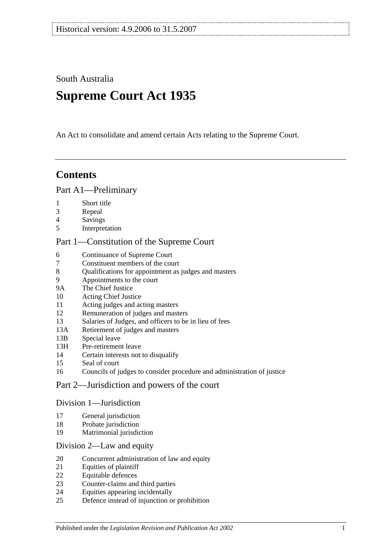South Australia

# **Supreme Court Act 1935**

An Act to consolidate and amend certain Acts relating to the Supreme Court.

## **Contents**

### [Part A1—Preliminary](#page-3-0)

- [Short title](#page-3-1)
- [Repeal](#page-3-2)
- [Savings](#page-3-3)
- [Interpretation](#page-3-4)

### [Part 1—Constitution of the Supreme Court](#page-5-0)

- [Continuance of](#page-5-1) Supreme Court<br>7 Constituent members of the cou
- [Constituent members of the court](#page-5-2)
- [Qualifications for appointment as judges and masters](#page-5-3)
- [Appointments to the court](#page-5-4)
- 9A [The Chief Justice](#page-6-0)
- [Acting Chief Justice](#page-6-1)
- [Acting judges and acting masters](#page-6-2)
- [Remuneration of judges and masters](#page-6-3)
- [Salaries of Judges, and officers to be in lieu of fees](#page-7-0)
- 13A [Retirement of judges and masters](#page-7-1)
- 13B [Special leave](#page-7-2)
- 13H [Pre-retirement leave](#page-7-3)
- [Certain interests not to disqualify](#page-8-0)
- [Seal of court](#page-8-1)
- [Councils of judges to consider procedure and administration of justice](#page-9-0)

## [Part 2—Jurisdiction and powers of the court](#page-9-1)

#### [Division 1—Jurisdiction](#page-9-2)

- [General jurisdiction](#page-9-3)
- [Probate jurisdiction](#page-10-0)
- [Matrimonial jurisdiction](#page-10-1)

#### [Division 2—Law and equity](#page-10-2)

- [Concurrent administration of law and equity](#page-10-3)
- [Equities of plaintiff](#page-10-4)
- [Equitable defences](#page-11-0)
- [Counter-claims and third parties](#page-11-1)
- [Equities appearing incidentally](#page-11-2)
- [Defence instead of injunction or prohibition](#page-11-3)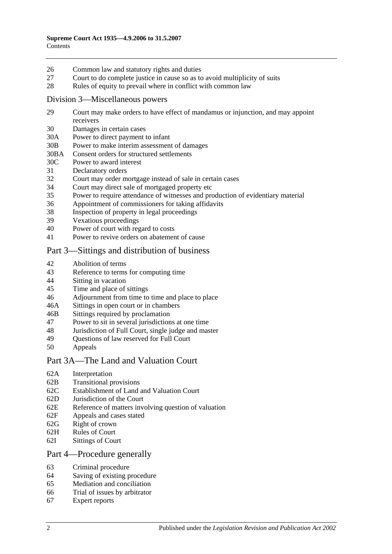- 26 [Common law and statutory rights and duties](#page-12-0)
- 27 [Court to do complete justice in cause so as to avoid multiplicity of suits](#page-12-1)
- 28 [Rules of equity to prevail where in conflict with common law](#page-12-2)

#### [Division 3—Miscellaneous powers](#page-12-3)

- 29 [Court may make orders to have effect of mandamus or injunction, and may appoint](#page-12-4)  [receivers](#page-12-4)
- 30 [Damages in certain cases](#page-13-0)
- 30A [Power to direct payment to infant](#page-13-1)
- 30B [Power to make interim assessment of damages](#page-13-2)
- 30BA [Consent orders for structured settlements](#page-16-0)
- 30C [Power to award interest](#page-16-1)
- 31 [Declaratory orders](#page-17-0)
- 32 [Court may order mortgage instead of sale in certain cases](#page-17-1)
- 34 [Court may direct sale of mortgaged property etc](#page-17-2)
- 35 [Power to require attendance of witnesses and production of evidentiary material](#page-17-3)
- 36 [Appointment of commissioners for taking affidavits](#page-18-0)
- 38 [Inspection of property in legal proceedings](#page-18-1)
- 39 [Vexatious proceedings](#page-18-2)
- 40 [Power of court with regard to costs](#page-19-0)
- 41 [Power to revive orders on abatement of cause](#page-19-1)

## [Part 3—Sittings and distribution of business](#page-19-2)

- 42 [Abolition of terms](#page-19-3)
- 43 [Reference to terms for computing time](#page-19-4)
- 44 Sitting [in vacation](#page-19-5)
- 45 [Time and place of sittings](#page-20-0)
- 46 [Adjournment from time to time and place to place](#page-20-1)
- 46A [Sittings in open court or in chambers](#page-20-2)
- 46B [Sittings required by proclamation](#page-20-3)
- 47 [Power to sit in several jurisdictions at one time](#page-20-4)
- 48 [Jurisdiction of Full Court, single judge and master](#page-20-5)
- 49 [Questions of law reserved for Full Court](#page-21-0)<br>50 Anneals
- **[Appeals](#page-21-1)**

#### [Part 3A—The Land and Valuation Court](#page-22-0)

- 62A [Interpretation](#page-22-1)
- 62B [Transitional provisions](#page-22-2)
- 62C [Establishment of Land and Valuation Court](#page-23-0)
- 62D [Jurisdiction of the Court](#page-23-1)
- 62E [Reference of matters involving question of valuation](#page-24-0)
- 62F [Appeals and cases stated](#page-24-1)
- 62G [Right of crown](#page-24-2)
- 62H [Rules of Court](#page-24-3)
- 62I [Sittings of Court](#page-25-0)

#### [Part 4—Procedure generally](#page-25-1)

- 63 [Criminal procedure](#page-25-2)
- 64 [Saving of existing procedure](#page-25-3)
- 65 [Mediation and conciliation](#page-25-4)
- 66 [Trial of issues by arbitrator](#page-26-0)
- 67 [Expert reports](#page-26-1)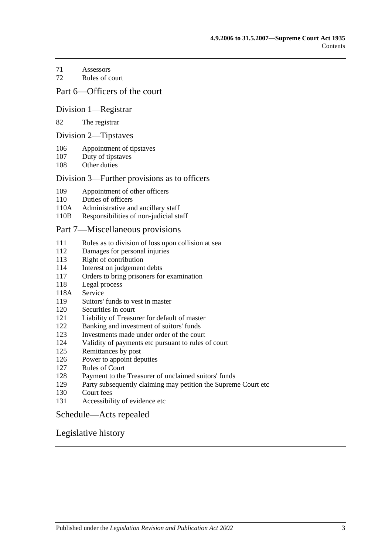[Assessors](#page-26-2)

[Rules of court](#page-27-0)

### [Part 6—Officers of the court](#page-28-0)

#### [Division 1—Registrar](#page-28-1)

#### [The registrar](#page-28-2)

#### [Division 2—Tipstaves](#page-28-3)

- [Appointment of tipstaves](#page-28-4)
- [Duty of tipstaves](#page-29-0)
- [Other duties](#page-29-1)

#### [Division 3—Further provisions as to officers](#page-29-2)

- [Appointment of other officers](#page-29-3)
- [Duties of officers](#page-29-4)
- 110A [Administrative and ancillary staff](#page-29-5)
- 110B [Responsibilities of non-judicial staff](#page-29-6)

#### [Part 7—Miscellaneous provisions](#page-30-0)

- [Rules as to division of loss upon collision at sea](#page-30-1)
- [Damages for personal injuries](#page-30-2)<br>113 Right of contribution
- [Right of contribution](#page-30-3)
- [Interest on judgement debts](#page-31-0)
- [Orders to bring prisoners for examination](#page-31-1)
- [Legal process](#page-31-2)
- 118A [Service](#page-31-3)
- [Suitors' funds to vest in master](#page-31-4)
- [Securities in court](#page-32-0)
- [Liability of Treasurer for default of master](#page-32-1)
- [Banking and investment of suitors' funds](#page-32-2)
- [Investments made under order of the court](#page-32-3)
- [Validity of payments etc pursuant to rules of court](#page-32-4)
- [Remittances by post](#page-32-5)
- [Power to appoint deputies](#page-33-0)
- [Rules of Court](#page-33-1)
- [Payment to the Treasurer of unclaimed suitors' funds](#page-33-2)
- [Party subsequently claiming may petition the Supreme Court etc](#page-33-3)
- [Court fees](#page-33-4)
- [Accessibility of evidence etc](#page-34-0)

#### [Schedule—Acts repealed](#page-35-0)

#### [Legislative history](#page-37-0)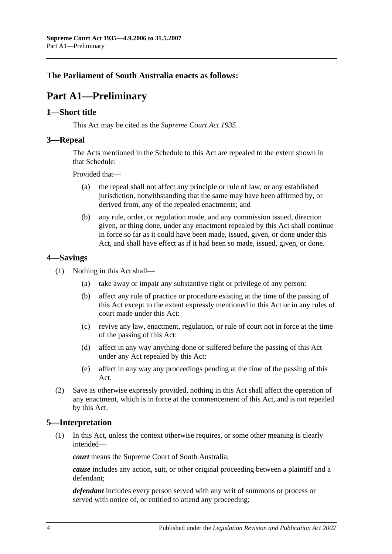## <span id="page-3-0"></span>**The Parliament of South Australia enacts as follows:**

# **Part A1—Preliminary**

### <span id="page-3-1"></span>**1—Short title**

This Act may be cited as the *Supreme Court Act 1935*.

### <span id="page-3-2"></span>**3—Repeal**

The Acts mentioned in the [Schedule](#page-35-0) to this Act are repealed to the extent shown in that [Schedule:](#page-35-0)

Provided that—

- (a) the repeal shall not affect any principle or rule of law, or any established jurisdiction, notwithstanding that the same may have been affirmed by, or derived from, any of the repealed enactments; and
- (b) any rule, order, or regulation made, and any commission issued, direction given, or thing done, under any enactment repealed by this Act shall continue in force so far as it could have been made, issued, given, or done under this Act, and shall have effect as if it had been so made, issued, given, or done.

## <span id="page-3-3"></span>**4—Savings**

- (1) Nothing in this Act shall—
	- (a) take away or impair any substantive right or privilege of any person:
	- (b) affect any rule of practice or procedure existing at the time of the passing of this Act except to the extent expressly mentioned in this Act or in any rules of court made under this Act:
	- (c) revive any law, enactment, regulation, or rule of court not in force at the time of the passing of this Act:
	- (d) affect in any way anything done or suffered before the passing of this Act under any Act repealed by this Act:
	- (e) affect in any way any proceedings pending at the time of the passing of this Act.
- (2) Save as otherwise expressly provided, nothing in this Act shall affect the operation of any enactment, which is in force at the commencement of this Act, and is not repealed by this Act.

## <span id="page-3-4"></span>**5—Interpretation**

(1) In this Act, unless the context otherwise requires, or some other meaning is clearly intended—

*court* means the Supreme Court of South Australia;

*cause* includes any action, suit, or other original proceeding between a plaintiff and a defendant;

*defendant* includes every person served with any writ of summons or process or served with notice of, or entitled to attend any proceeding;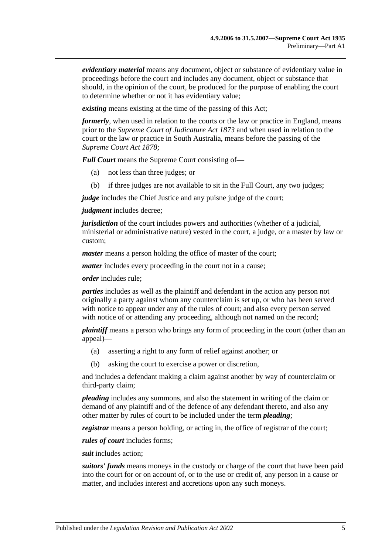*evidentiary material* means any document, object or substance of evidentiary value in proceedings before the court and includes any document, object or substance that should, in the opinion of the court, be produced for the purpose of enabling the court to determine whether or not it has evidentiary value;

*existing* means existing at the time of the passing of this Act;

*formerly*, when used in relation to the courts or the law or practice in England, means prior to the *[Supreme Court of Judicature Act](http://www.legislation.sa.gov.au/index.aspx?action=legref&type=act&legtitle=Supreme%20Court%20of%20Judicature%20Act%201873) 1873* and when used in relation to the court or the law or practice in South Australia, means before the passing of the *[Supreme Court Act](http://www.legislation.sa.gov.au/index.aspx?action=legref&type=act&legtitle=Supreme%20Court%20Act%201878) 1878*;

*Full Court* means the Supreme Court consisting of—

- (a) not less than three judges; or
- (b) if three judges are not available to sit in the Full Court, any two judges;

*judge* includes the Chief Justice and any puisne judge of the court;

*judgment* includes decree;

*jurisdiction* of the court includes powers and authorities (whether of a judicial, ministerial or administrative nature) vested in the court, a judge, or a master by law or custom;

*master* means a person holding the office of master of the court;

*matter* includes every proceeding in the court not in a cause;

*order* includes rule;

*parties* includes as well as the plaintiff and defendant in the action any person not originally a party against whom any counterclaim is set up, or who has been served with notice to appear under any of the rules of court; and also every person served with notice of or attending any proceeding, although not named on the record;

*plaintiff* means a person who brings any form of proceeding in the court (other than an appeal)—

- (a) asserting a right to any form of relief against another; or
- (b) asking the court to exercise a power or discretion,

and includes a defendant making a claim against another by way of counterclaim or third-party claim;

*pleading* includes any summons, and also the statement in writing of the claim or demand of any plaintiff and of the defence of any defendant thereto, and also any other matter by rules of court to be included under the term *pleading*;

*registrar* means a person holding, or acting in, the office of registrar of the court;

*rules of court* includes forms;

*suit* includes action;

*suitors' funds* means moneys in the custody or charge of the court that have been paid into the court for or on account of, or to the use or credit of, any person in a cause or matter, and includes interest and accretions upon any such moneys.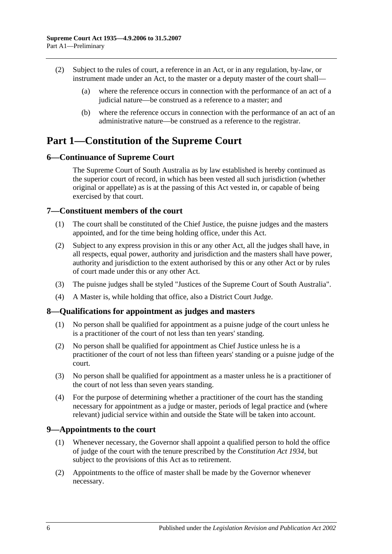- (2) Subject to the rules of court, a reference in an Act, or in any regulation, by-law, or instrument made under an Act, to the master or a deputy master of the court shall—
	- (a) where the reference occurs in connection with the performance of an act of a judicial nature—be construed as a reference to a master; and
	- (b) where the reference occurs in connection with the performance of an act of an administrative nature—be construed as a reference to the registrar.

## <span id="page-5-0"></span>**Part 1—Constitution of the Supreme Court**

## <span id="page-5-1"></span>**6—Continuance of Supreme Court**

The Supreme Court of South Australia as by law established is hereby continued as the superior court of record, in which has been vested all such jurisdiction (whether original or appellate) as is at the passing of this Act vested in, or capable of being exercised by that court.

## <span id="page-5-2"></span>**7—Constituent members of the court**

- (1) The court shall be constituted of the Chief Justice, the puisne judges and the masters appointed, and for the time being holding office, under this Act.
- (2) Subject to any express provision in this or any other Act, all the judges shall have, in all respects, equal power, authority and jurisdiction and the masters shall have power, authority and jurisdiction to the extent authorised by this or any other Act or by rules of court made under this or any other Act.
- (3) The puisne judges shall be styled "Justices of the Supreme Court of South Australia".
- (4) A Master is, while holding that office, also a District Court Judge.

## <span id="page-5-3"></span>**8—Qualifications for appointment as judges and masters**

- (1) No person shall be qualified for appointment as a puisne judge of the court unless he is a practitioner of the court of not less than ten years' standing.
- (2) No person shall be qualified for appointment as Chief Justice unless he is a practitioner of the court of not less than fifteen years' standing or a puisne judge of the court.
- (3) No person shall be qualified for appointment as a master unless he is a practitioner of the court of not less than seven years standing.
- (4) For the purpose of determining whether a practitioner of the court has the standing necessary for appointment as a judge or master, periods of legal practice and (where relevant) judicial service within and outside the State will be taken into account.

## <span id="page-5-4"></span>**9—Appointments to the court**

- (1) Whenever necessary, the Governor shall appoint a qualified person to hold the office of judge of the court with the tenure prescribed by the *[Constitution Act](http://www.legislation.sa.gov.au/index.aspx?action=legref&type=act&legtitle=Constitution%20Act%201934) 1934*, but subject to the provisions of this Act as to retirement.
- (2) Appointments to the office of master shall be made by the Governor whenever necessary.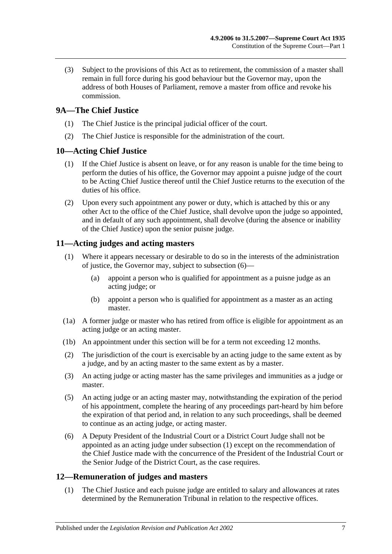(3) Subject to the provisions of this Act as to retirement, the commission of a master shall remain in full force during his good behaviour but the Governor may, upon the address of both Houses of Parliament, remove a master from office and revoke his commission.

## <span id="page-6-0"></span>**9A—The Chief Justice**

- (1) The Chief Justice is the principal judicial officer of the court.
- (2) The Chief Justice is responsible for the administration of the court.

## <span id="page-6-1"></span>**10—Acting Chief Justice**

- (1) If the Chief Justice is absent on leave, or for any reason is unable for the time being to perform the duties of his office, the Governor may appoint a puisne judge of the court to be Acting Chief Justice thereof until the Chief Justice returns to the execution of the duties of his office.
- (2) Upon every such appointment any power or duty, which is attached by this or any other Act to the office of the Chief Justice, shall devolve upon the judge so appointed, and in default of any such appointment, shall devolve (during the absence or inability of the Chief Justice) upon the senior puisne judge.

## <span id="page-6-5"></span><span id="page-6-2"></span>**11—Acting judges and acting masters**

- (1) Where it appears necessary or desirable to do so in the interests of the administration of justice, the Governor may, subject to [subsection](#page-6-4) (6)—
	- (a) appoint a person who is qualified for appointment as a puisne judge as an acting judge; or
	- (b) appoint a person who is qualified for appointment as a master as an acting master.
- (1a) A former judge or master who has retired from office is eligible for appointment as an acting judge or an acting master.
- (1b) An appointment under this section will be for a term not exceeding 12 months.
- (2) The jurisdiction of the court is exercisable by an acting judge to the same extent as by a judge, and by an acting master to the same extent as by a master.
- (3) An acting judge or acting master has the same privileges and immunities as a judge or master.
- (5) An acting judge or an acting master may, notwithstanding the expiration of the period of his appointment, complete the hearing of any proceedings part-heard by him before the expiration of that period and, in relation to any such proceedings, shall be deemed to continue as an acting judge, or acting master.
- <span id="page-6-4"></span>(6) A Deputy President of the Industrial Court or a District Court Judge shall not be appointed as an acting judge under [subsection](#page-6-5) (1) except on the recommendation of the Chief Justice made with the concurrence of the President of the Industrial Court or the Senior Judge of the District Court, as the case requires.

## <span id="page-6-3"></span>**12—Remuneration of judges and masters**

(1) The Chief Justice and each puisne judge are entitled to salary and allowances at rates determined by the Remuneration Tribunal in relation to the respective offices.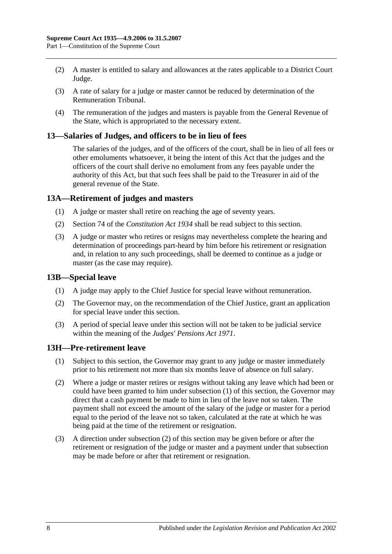- (2) A master is entitled to salary and allowances at the rates applicable to a District Court Judge.
- (3) A rate of salary for a judge or master cannot be reduced by determination of the Remuneration Tribunal.
- (4) The remuneration of the judges and masters is payable from the General Revenue of the State, which is appropriated to the necessary extent.

#### <span id="page-7-0"></span>**13—Salaries of Judges, and officers to be in lieu of fees**

The salaries of the judges, and of the officers of the court, shall be in lieu of all fees or other emoluments whatsoever, it being the intent of this Act that the judges and the officers of the court shall derive no emolument from any fees payable under the authority of this Act, but that such fees shall be paid to the Treasurer in aid of the general revenue of the State.

### <span id="page-7-1"></span>**13A—Retirement of judges and masters**

- (1) A judge or master shall retire on reaching the age of seventy years.
- (2) Section 74 of the *[Constitution](http://www.legislation.sa.gov.au/index.aspx?action=legref&type=act&legtitle=Constitution%20Act%201934) Act 1934* shall be read subject to this section.
- (3) A judge or master who retires or resigns may nevertheless complete the hearing and determination of proceedings part-heard by him before his retirement or resignation and, in relation to any such proceedings, shall be deemed to continue as a judge or master (as the case may require).

#### <span id="page-7-2"></span>**13B—Special leave**

- (1) A judge may apply to the Chief Justice for special leave without remuneration.
- (2) The Governor may, on the recommendation of the Chief Justice, grant an application for special leave under this section.
- (3) A period of special leave under this section will not be taken to be judicial service within the meaning of the *[Judges' Pensions Act](http://www.legislation.sa.gov.au/index.aspx?action=legref&type=act&legtitle=Judges%20Pensions%20Act%201971) 1971*.

#### <span id="page-7-4"></span><span id="page-7-3"></span>**13H—Pre-retirement leave**

- (1) Subject to this section, the Governor may grant to any judge or master immediately prior to his retirement not more than six months leave of absence on full salary.
- <span id="page-7-5"></span>(2) Where a judge or master retires or resigns without taking any leave which had been or could have been granted to him under [subsection](#page-7-4) (1) of this section, the Governor may direct that a cash payment be made to him in lieu of the leave not so taken. The payment shall not exceed the amount of the salary of the judge or master for a period equal to the period of the leave not so taken, calculated at the rate at which he was being paid at the time of the retirement or resignation.
- (3) A direction under [subsection](#page-7-5) (2) of this section may be given before or after the retirement or resignation of the judge or master and a payment under that subsection may be made before or after that retirement or resignation.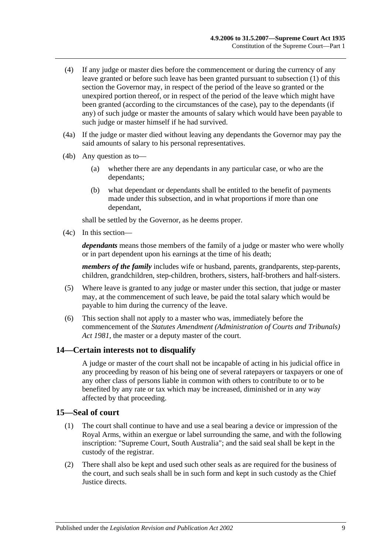- (4) If any judge or master dies before the commencement or during the currency of any leave granted or before such leave has been granted pursuant to [subsection](#page-7-4) (1) of this section the Governor may, in respect of the period of the leave so granted or the unexpired portion thereof, or in respect of the period of the leave which might have been granted (according to the circumstances of the case), pay to the dependants (if any) of such judge or master the amounts of salary which would have been payable to such judge or master himself if he had survived.
- (4a) If the judge or master died without leaving any dependants the Governor may pay the said amounts of salary to his personal representatives.
- (4b) Any question as to—
	- (a) whether there are any dependants in any particular case, or who are the dependants;
	- (b) what dependant or dependants shall be entitled to the benefit of payments made under this subsection, and in what proportions if more than one dependant,

shall be settled by the Governor, as he deems proper.

(4c) In this section—

*dependants* means those members of the family of a judge or master who were wholly or in part dependent upon his earnings at the time of his death;

*members of the family* includes wife or husband, parents, grandparents, step-parents, children, grandchildren, step-children, brothers, sisters, half-brothers and half-sisters.

- (5) Where leave is granted to any judge or master under this section, that judge or master may, at the commencement of such leave, be paid the total salary which would be payable to him during the currency of the leave.
- (6) This section shall not apply to a master who was, immediately before the commencement of the *[Statutes Amendment \(Administration of Courts and Tribunals\)](http://www.legislation.sa.gov.au/index.aspx?action=legref&type=act&legtitle=Statutes%20Amendment%20(Administration%20of%20Courts%20and%20Tribunals)%20Act%201981)  Act [1981](http://www.legislation.sa.gov.au/index.aspx?action=legref&type=act&legtitle=Statutes%20Amendment%20(Administration%20of%20Courts%20and%20Tribunals)%20Act%201981)*, the master or a deputy master of the court.

## <span id="page-8-0"></span>**14—Certain interests not to disqualify**

A judge or master of the court shall not be incapable of acting in his judicial office in any proceeding by reason of his being one of several ratepayers or taxpayers or one of any other class of persons liable in common with others to contribute to or to be benefited by any rate or tax which may be increased, diminished or in any way affected by that proceeding.

#### <span id="page-8-1"></span>**15—Seal of court**

- (1) The court shall continue to have and use a seal bearing a device or impression of the Royal Arms, within an exergue or label surrounding the same, and with the following inscription: "Supreme Court, South Australia"; and the said seal shall be kept in the custody of the registrar.
- (2) There shall also be kept and used such other seals as are required for the business of the court, and such seals shall be in such form and kept in such custody as the Chief Justice directs.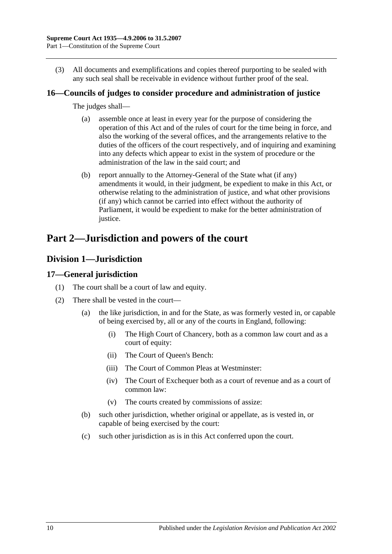(3) All documents and exemplifications and copies thereof purporting to be sealed with any such seal shall be receivable in evidence without further proof of the seal.

## <span id="page-9-0"></span>**16—Councils of judges to consider procedure and administration of justice**

The judges shall—

- (a) assemble once at least in every year for the purpose of considering the operation of this Act and of the rules of court for the time being in force, and also the working of the several offices, and the arrangements relative to the duties of the officers of the court respectively, and of inquiring and examining into any defects which appear to exist in the system of procedure or the administration of the law in the said court; and
- (b) report annually to the Attorney-General of the State what (if any) amendments it would, in their judgment, be expedient to make in this Act, or otherwise relating to the administration of justice, and what other provisions (if any) which cannot be carried into effect without the authority of Parliament, it would be expedient to make for the better administration of justice.

# <span id="page-9-1"></span>**Part 2—Jurisdiction and powers of the court**

## <span id="page-9-2"></span>**Division 1—Jurisdiction**

## <span id="page-9-3"></span>**17—General jurisdiction**

- (1) The court shall be a court of law and equity.
- (2) There shall be vested in the court—
	- (a) the like jurisdiction, in and for the State, as was formerly vested in, or capable of being exercised by, all or any of the courts in England, following:
		- (i) The High Court of Chancery, both as a common law court and as a court of equity:
		- (ii) The Court of Queen's Bench:
		- (iii) The Court of Common Pleas at Westminster:
		- (iv) The Court of Exchequer both as a court of revenue and as a court of common law:
		- (v) The courts created by commissions of assize:
	- (b) such other jurisdiction, whether original or appellate, as is vested in, or capable of being exercised by the court:
	- (c) such other jurisdiction as is in this Act conferred upon the court.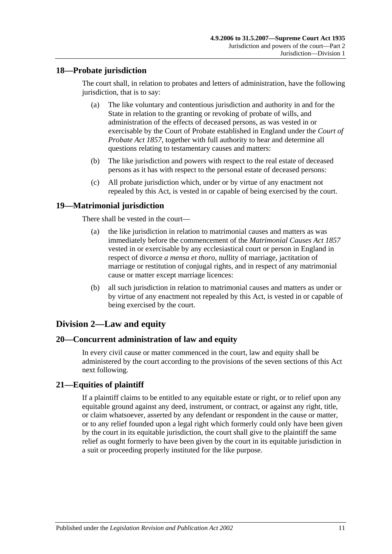## <span id="page-10-0"></span>**18—Probate jurisdiction**

The court shall, in relation to probates and letters of administration, have the following jurisdiction, that is to say:

- (a) The like voluntary and contentious jurisdiction and authority in and for the State in relation to the granting or revoking of probate of wills, and administration of the effects of deceased persons, as was vested in or exercisable by the Court of Probate established in England under the *[Court of](http://www.legislation.sa.gov.au/index.aspx?action=legref&type=act&legtitle=Court%20of%20Probate%20Act%201857)  [Probate Act](http://www.legislation.sa.gov.au/index.aspx?action=legref&type=act&legtitle=Court%20of%20Probate%20Act%201857) 1857*, together with full authority to hear and determine all questions relating to testamentary causes and matters:
- (b) The like jurisdiction and powers with respect to the real estate of deceased persons as it has with respect to the personal estate of deceased persons:
- (c) All probate jurisdiction which, under or by virtue of any enactment not repealed by this Act, is vested in or capable of being exercised by the court.

## <span id="page-10-1"></span>**19—Matrimonial jurisdiction**

There shall be vested in the court—

- (a) the like jurisdiction in relation to matrimonial causes and matters as was immediately before the commencement of the *[Matrimonial Causes Act](http://www.legislation.sa.gov.au/index.aspx?action=legref&type=act&legtitle=Matrimonial%20Causes%20Act%201857) 1857* vested in or exercisable by any ecclesiastical court or person in England in respect of divorce *a mensa et thoro*, nullity of marriage, jactitation of marriage or restitution of conjugal rights, and in respect of any matrimonial cause or matter except marriage licences:
- (b) all such jurisdiction in relation to matrimonial causes and matters as under or by virtue of any enactment not repealed by this Act, is vested in or capable of being exercised by the court.

## <span id="page-10-2"></span>**Division 2—Law and equity**

## <span id="page-10-3"></span>**20—Concurrent administration of law and equity**

In every civil cause or matter commenced in the court, law and equity shall be administered by the court according to the provisions of the seven sections of this Act next following.

## <span id="page-10-4"></span>**21—Equities of plaintiff**

If a plaintiff claims to be entitled to any equitable estate or right, or to relief upon any equitable ground against any deed, instrument, or contract, or against any right, title, or claim whatsoever, asserted by any defendant or respondent in the cause or matter, or to any relief founded upon a legal right which formerly could only have been given by the court in its equitable jurisdiction, the court shall give to the plaintiff the same relief as ought formerly to have been given by the court in its equitable jurisdiction in a suit or proceeding properly instituted for the like purpose.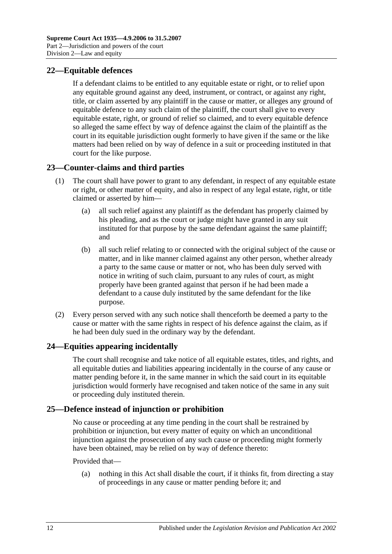## <span id="page-11-0"></span>**22—Equitable defences**

If a defendant claims to be entitled to any equitable estate or right, or to relief upon any equitable ground against any deed, instrument, or contract, or against any right, title, or claim asserted by any plaintiff in the cause or matter, or alleges any ground of equitable defence to any such claim of the plaintiff, the court shall give to every equitable estate, right, or ground of relief so claimed, and to every equitable defence so alleged the same effect by way of defence against the claim of the plaintiff as the court in its equitable jurisdiction ought formerly to have given if the same or the like matters had been relied on by way of defence in a suit or proceeding instituted in that court for the like purpose.

## <span id="page-11-1"></span>**23—Counter-claims and third parties**

- (1) The court shall have power to grant to any defendant, in respect of any equitable estate or right, or other matter of equity, and also in respect of any legal estate, right, or title claimed or asserted by him—
	- (a) all such relief against any plaintiff as the defendant has properly claimed by his pleading, and as the court or judge might have granted in any suit instituted for that purpose by the same defendant against the same plaintiff; and
	- (b) all such relief relating to or connected with the original subject of the cause or matter, and in like manner claimed against any other person, whether already a party to the same cause or matter or not, who has been duly served with notice in writing of such claim, pursuant to any rules of court, as might properly have been granted against that person if he had been made a defendant to a cause duly instituted by the same defendant for the like purpose.
- (2) Every person served with any such notice shall thenceforth be deemed a party to the cause or matter with the same rights in respect of his defence against the claim, as if he had been duly sued in the ordinary way by the defendant.

## <span id="page-11-2"></span>**24—Equities appearing incidentally**

The court shall recognise and take notice of all equitable estates, titles, and rights, and all equitable duties and liabilities appearing incidentally in the course of any cause or matter pending before it, in the same manner in which the said court in its equitable jurisdiction would formerly have recognised and taken notice of the same in any suit or proceeding duly instituted therein.

## <span id="page-11-3"></span>**25—Defence instead of injunction or prohibition**

No cause or proceeding at any time pending in the court shall be restrained by prohibition or injunction, but every matter of equity on which an unconditional injunction against the prosecution of any such cause or proceeding might formerly have been obtained, may be relied on by way of defence thereto:

#### Provided that—

(a) nothing in this Act shall disable the court, if it thinks fit, from directing a stay of proceedings in any cause or matter pending before it; and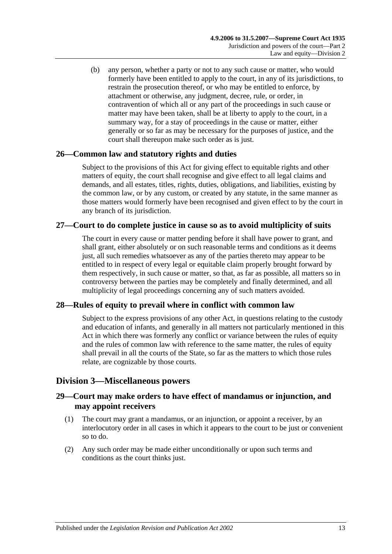(b) any person, whether a party or not to any such cause or matter, who would formerly have been entitled to apply to the court, in any of its jurisdictions, to restrain the prosecution thereof, or who may be entitled to enforce, by attachment or otherwise, any judgment, decree, rule, or order, in contravention of which all or any part of the proceedings in such cause or matter may have been taken, shall be at liberty to apply to the court, in a summary way, for a stay of proceedings in the cause or matter, either generally or so far as may be necessary for the purposes of justice, and the court shall thereupon make such order as is just.

## <span id="page-12-0"></span>**26—Common law and statutory rights and duties**

Subject to the provisions of this Act for giving effect to equitable rights and other matters of equity, the court shall recognise and give effect to all legal claims and demands, and all estates, titles, rights, duties, obligations, and liabilities, existing by the common law, or by any custom, or created by any statute, in the same manner as those matters would formerly have been recognised and given effect to by the court in any branch of its jurisdiction.

## <span id="page-12-1"></span>**27—Court to do complete justice in cause so as to avoid multiplicity of suits**

The court in every cause or matter pending before it shall have power to grant, and shall grant, either absolutely or on such reasonable terms and conditions as it deems just, all such remedies whatsoever as any of the parties thereto may appear to be entitled to in respect of every legal or equitable claim properly brought forward by them respectively, in such cause or matter, so that, as far as possible, all matters so in controversy between the parties may be completely and finally determined, and all multiplicity of legal proceedings concerning any of such matters avoided.

## <span id="page-12-2"></span>**28—Rules of equity to prevail where in conflict with common law**

Subject to the express provisions of any other Act, in questions relating to the custody and education of infants, and generally in all matters not particularly mentioned in this Act in which there was formerly any conflict or variance between the rules of equity and the rules of common law with reference to the same matter, the rules of equity shall prevail in all the courts of the State, so far as the matters to which those rules relate, are cognizable by those courts.

## <span id="page-12-3"></span>**Division 3—Miscellaneous powers**

## <span id="page-12-4"></span>**29—Court may make orders to have effect of mandamus or injunction, and may appoint receivers**

- (1) The court may grant a mandamus, or an injunction, or appoint a receiver, by an interlocutory order in all cases in which it appears to the court to be just or convenient so to do.
- (2) Any such order may be made either unconditionally or upon such terms and conditions as the court thinks just.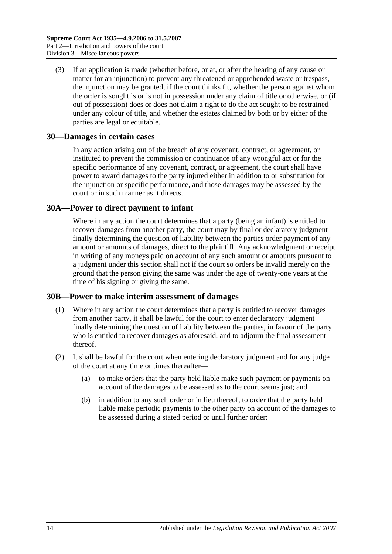(3) If an application is made (whether before, or at, or after the hearing of any cause or matter for an injunction) to prevent any threatened or apprehended waste or trespass, the injunction may be granted, if the court thinks fit, whether the person against whom the order is sought is or is not in possession under any claim of title or otherwise, or (if out of possession) does or does not claim a right to do the act sought to be restrained under any colour of title, and whether the estates claimed by both or by either of the parties are legal or equitable.

### <span id="page-13-0"></span>**30—Damages in certain cases**

In any action arising out of the breach of any covenant, contract, or agreement, or instituted to prevent the commission or continuance of any wrongful act or for the specific performance of any covenant, contract, or agreement, the court shall have power to award damages to the party injured either in addition to or substitution for the injunction or specific performance, and those damages may be assessed by the court or in such manner as it directs.

### <span id="page-13-1"></span>**30A—Power to direct payment to infant**

Where in any action the court determines that a party (being an infant) is entitled to recover damages from another party, the court may by final or declaratory judgment finally determining the question of liability between the parties order payment of any amount or amounts of damages, direct to the plaintiff. Any acknowledgment or receipt in writing of any moneys paid on account of any such amount or amounts pursuant to a judgment under this section shall not if the court so orders be invalid merely on the ground that the person giving the same was under the age of twenty-one years at the time of his signing or giving the same.

#### <span id="page-13-2"></span>**30B—Power to make interim assessment of damages**

- (1) Where in any action the court determines that a party is entitled to recover damages from another party, it shall be lawful for the court to enter declaratory judgment finally determining the question of liability between the parties, in favour of the party who is entitled to recover damages as aforesaid, and to adjourn the final assessment thereof.
- <span id="page-13-3"></span>(2) It shall be lawful for the court when entering declaratory judgment and for any judge of the court at any time or times thereafter—
	- (a) to make orders that the party held liable make such payment or payments on account of the damages to be assessed as to the court seems just; and
	- (b) in addition to any such order or in lieu thereof, to order that the party held liable make periodic payments to the other party on account of the damages to be assessed during a stated period or until further order: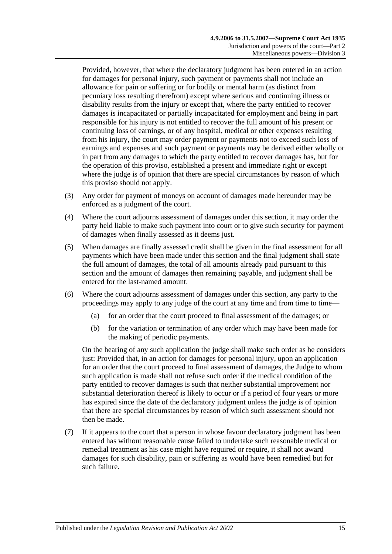Provided, however, that where the declaratory judgment has been entered in an action for damages for personal injury, such payment or payments shall not include an allowance for pain or suffering or for bodily or mental harm (as distinct from pecuniary loss resulting therefrom) except where serious and continuing illness or disability results from the injury or except that, where the party entitled to recover damages is incapacitated or partially incapacitated for employment and being in part responsible for his injury is not entitled to recover the full amount of his present or continuing loss of earnings, or of any hospital, medical or other expenses resulting from his injury, the court may order payment or payments not to exceed such loss of earnings and expenses and such payment or payments may be derived either wholly or in part from any damages to which the party entitled to recover damages has, but for the operation of this proviso, established a present and immediate right or except where the judge is of opinion that there are special circumstances by reason of which this proviso should not apply.

- (3) Any order for payment of moneys on account of damages made hereunder may be enforced as a judgment of the court.
- (4) Where the court adjourns assessment of damages under this section, it may order the party held liable to make such payment into court or to give such security for payment of damages when finally assessed as it deems just.
- (5) When damages are finally assessed credit shall be given in the final assessment for all payments which have been made under this section and the final judgment shall state the full amount of damages, the total of all amounts already paid pursuant to this section and the amount of damages then remaining payable, and judgment shall be entered for the last-named amount.
- (6) Where the court adjourns assessment of damages under this section, any party to the proceedings may apply to any judge of the court at any time and from time to time—
	- (a) for an order that the court proceed to final assessment of the damages; or
	- (b) for the variation or termination of any order which may have been made for the making of periodic payments.

On the hearing of any such application the judge shall make such order as he considers just: Provided that, in an action for damages for personal injury, upon an application for an order that the court proceed to final assessment of damages, the Judge to whom such application is made shall not refuse such order if the medical condition of the party entitled to recover damages is such that neither substantial improvement nor substantial deterioration thereof is likely to occur or if a period of four years or more has expired since the date of the declaratory judgment unless the judge is of opinion that there are special circumstances by reason of which such assessment should not then be made.

(7) If it appears to the court that a person in whose favour declaratory judgment has been entered has without reasonable cause failed to undertake such reasonable medical or remedial treatment as his case might have required or require, it shall not award damages for such disability, pain or suffering as would have been remedied but for such failure.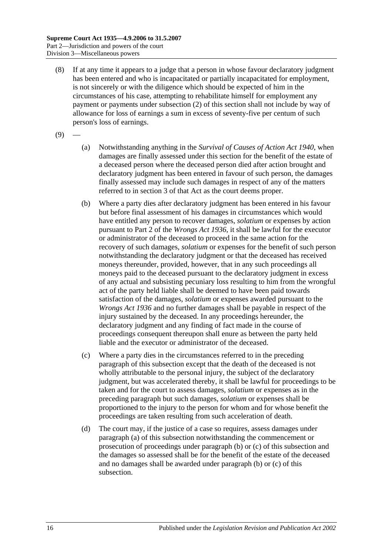- (8) If at any time it appears to a judge that a person in whose favour declaratory judgment has been entered and who is incapacitated or partially incapacitated for employment, is not sincerely or with the diligence which should be expected of him in the circumstances of his case, attempting to rehabilitate himself for employment any payment or payments under [subsection](#page-13-3) (2) of this section shall not include by way of allowance for loss of earnings a sum in excess of seventy-five per centum of such person's loss of earnings.
- <span id="page-15-0"></span> $(9)$
- (a) Notwithstanding anything in the *[Survival of Causes of Action Act](http://www.legislation.sa.gov.au/index.aspx?action=legref&type=act&legtitle=Survival%20of%20Causes%20of%20Action%20Act%201940) 1940*, when damages are finally assessed under this section for the benefit of the estate of a deceased person where the deceased person died after action brought and declaratory judgment has been entered in favour of such person, the damages finally assessed may include such damages in respect of any of the matters referred to in section 3 of that Act as the court deems proper.
- <span id="page-15-1"></span>(b) Where a party dies after declaratory judgment has been entered in his favour but before final assessment of his damages in circumstances which would have entitled any person to recover damages, *solatium* or expenses by action pursuant to Part 2 of the *[Wrongs Act](http://www.legislation.sa.gov.au/index.aspx?action=legref&type=act&legtitle=Wrongs%20Act%201936) 1936*, it shall be lawful for the executor or administrator of the deceased to proceed in the same action for the recovery of such damages, *solatium* or expenses for the benefit of such person notwithstanding the declaratory judgment or that the deceased has received moneys thereunder, provided, however, that in any such proceedings all moneys paid to the deceased pursuant to the declaratory judgment in excess of any actual and subsisting pecuniary loss resulting to him from the wrongful act of the party held liable shall be deemed to have been paid towards satisfaction of the damages, *solatium* or expenses awarded pursuant to the *[Wrongs Act](http://www.legislation.sa.gov.au/index.aspx?action=legref&type=act&legtitle=Wrongs%20Act%201936) 1936* and no further damages shall be payable in respect of the injury sustained by the deceased. In any proceedings hereunder, the declaratory judgment and any finding of fact made in the course of proceedings consequent thereupon shall enure as between the party held liable and the executor or administrator of the deceased.
- <span id="page-15-2"></span>(c) Where a party dies in the circumstances referred to in the preceding paragraph of this subsection except that the death of the deceased is not wholly attributable to the personal injury, the subject of the declaratory judgment, but was accelerated thereby, it shall be lawful for proceedings to be taken and for the court to assess damages, *solatium* or expenses as in the preceding paragraph but such damages, *solatium* or expenses shall be proportioned to the injury to the person for whom and for whose benefit the proceedings are taken resulting from such acceleration of death.
- (d) The court may, if the justice of a case so requires, assess damages under [paragraph](#page-15-0) (a) of this subsection notwithstanding the commencement or prosecution of proceedings under [paragraph](#page-15-1) (b) or [\(c\)](#page-15-2) of this subsection and the damages so assessed shall be for the benefit of the estate of the deceased and no damages shall be awarded under [paragraph](#page-15-1) (b) or [\(c\)](#page-15-2) of this subsection.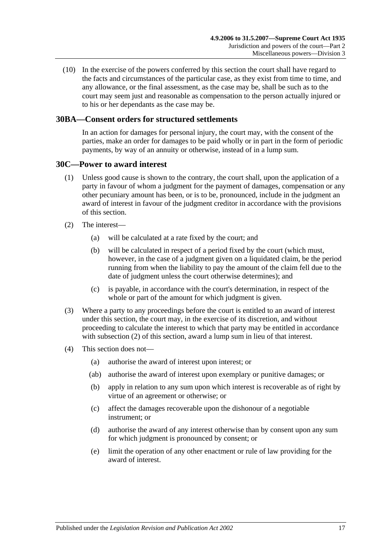(10) In the exercise of the powers conferred by this section the court shall have regard to the facts and circumstances of the particular case, as they exist from time to time, and any allowance, or the final assessment, as the case may be, shall be such as to the court may seem just and reasonable as compensation to the person actually injured or to his or her dependants as the case may be.

## <span id="page-16-0"></span>**30BA—Consent orders for structured settlements**

In an action for damages for personal injury, the court may, with the consent of the parties, make an order for damages to be paid wholly or in part in the form of periodic payments, by way of an annuity or otherwise, instead of in a lump sum.

#### <span id="page-16-1"></span>**30C—Power to award interest**

- (1) Unless good cause is shown to the contrary, the court shall, upon the application of a party in favour of whom a judgment for the payment of damages, compensation or any other pecuniary amount has been, or is to be, pronounced, include in the judgment an award of interest in favour of the judgment creditor in accordance with the provisions of this section.
- <span id="page-16-2"></span>(2) The interest—
	- (a) will be calculated at a rate fixed by the court; and
	- (b) will be calculated in respect of a period fixed by the court (which must, however, in the case of a judgment given on a liquidated claim, be the period running from when the liability to pay the amount of the claim fell due to the date of judgment unless the court otherwise determines); and
	- (c) is payable, in accordance with the court's determination, in respect of the whole or part of the amount for which judgment is given.
- (3) Where a party to any proceedings before the court is entitled to an award of interest under this section, the court may, in the exercise of its discretion, and without proceeding to calculate the interest to which that party may be entitled in accordance with [subsection](#page-16-2) (2) of this section, award a lump sum in lieu of that interest.
- (4) This section does not—
	- (a) authorise the award of interest upon interest; or
	- (ab) authorise the award of interest upon exemplary or punitive damages; or
	- (b) apply in relation to any sum upon which interest is recoverable as of right by virtue of an agreement or otherwise; or
	- (c) affect the damages recoverable upon the dishonour of a negotiable instrument; or
	- (d) authorise the award of any interest otherwise than by consent upon any sum for which judgment is pronounced by consent; or
	- (e) limit the operation of any other enactment or rule of law providing for the award of interest.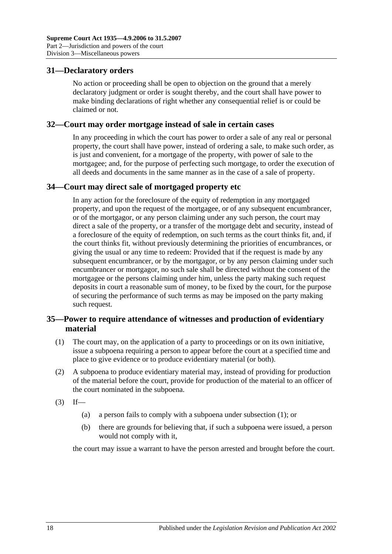## <span id="page-17-0"></span>**31—Declaratory orders**

No action or proceeding shall be open to objection on the ground that a merely declaratory judgment or order is sought thereby, and the court shall have power to make binding declarations of right whether any consequential relief is or could be claimed or not.

#### <span id="page-17-1"></span>**32—Court may order mortgage instead of sale in certain cases**

In any proceeding in which the court has power to order a sale of any real or personal property, the court shall have power, instead of ordering a sale, to make such order, as is just and convenient, for a mortgage of the property, with power of sale to the mortgagee; and, for the purpose of perfecting such mortgage, to order the execution of all deeds and documents in the same manner as in the case of a sale of property.

## <span id="page-17-2"></span>**34—Court may direct sale of mortgaged property etc**

In any action for the foreclosure of the equity of redemption in any mortgaged property, and upon the request of the mortgagee, or of any subsequent encumbrancer, or of the mortgagor, or any person claiming under any such person, the court may direct a sale of the property, or a transfer of the mortgage debt and security, instead of a foreclosure of the equity of redemption, on such terms as the court thinks fit, and, if the court thinks fit, without previously determining the priorities of encumbrances, or giving the usual or any time to redeem: Provided that if the request is made by any subsequent encumbrancer, or by the mortgagor, or by any person claiming under such encumbrancer or mortgagor, no such sale shall be directed without the consent of the mortgagee or the persons claiming under him, unless the party making such request deposits in court a reasonable sum of money, to be fixed by the court, for the purpose of securing the performance of such terms as may be imposed on the party making such request.

## <span id="page-17-3"></span>**35—Power to require attendance of witnesses and production of evidentiary material**

- <span id="page-17-4"></span>(1) The court may, on the application of a party to proceedings or on its own initiative, issue a subpoena requiring a person to appear before the court at a specified time and place to give evidence or to produce evidentiary material (or both).
- (2) A subpoena to produce evidentiary material may, instead of providing for production of the material before the court, provide for production of the material to an officer of the court nominated in the subpoena.
- $(3)$  If—
	- (a) a person fails to comply with a subpoena under [subsection](#page-17-4) (1); or
	- (b) there are grounds for believing that, if such a subpoena were issued, a person would not comply with it,

the court may issue a warrant to have the person arrested and brought before the court.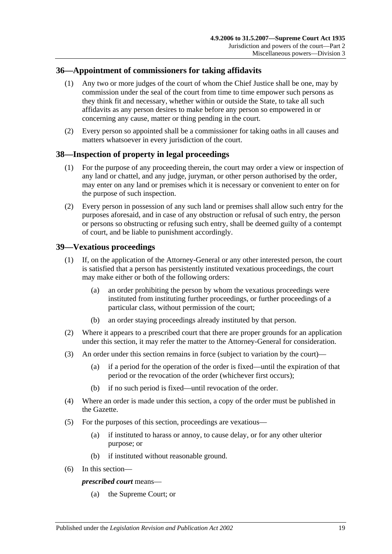## <span id="page-18-0"></span>**36—Appointment of commissioners for taking affidavits**

- (1) Any two or more judges of the court of whom the Chief Justice shall be one, may by commission under the seal of the court from time to time empower such persons as they think fit and necessary, whether within or outside the State, to take all such affidavits as any person desires to make before any person so empowered in or concerning any cause, matter or thing pending in the court.
- (2) Every person so appointed shall be a commissioner for taking oaths in all causes and matters whatsoever in every jurisdiction of the court.

## <span id="page-18-1"></span>**38—Inspection of property in legal proceedings**

- (1) For the purpose of any proceeding therein, the court may order a view or inspection of any land or chattel, and any judge, juryman, or other person authorised by the order, may enter on any land or premises which it is necessary or convenient to enter on for the purpose of such inspection.
- (2) Every person in possession of any such land or premises shall allow such entry for the purposes aforesaid, and in case of any obstruction or refusal of such entry, the person or persons so obstructing or refusing such entry, shall be deemed guilty of a contempt of court, and be liable to punishment accordingly.

## <span id="page-18-2"></span>**39—Vexatious proceedings**

- (1) If, on the application of the Attorney-General or any other interested person, the court is satisfied that a person has persistently instituted vexatious proceedings, the court may make either or both of the following orders:
	- (a) an order prohibiting the person by whom the vexatious proceedings were instituted from instituting further proceedings, or further proceedings of a particular class, without permission of the court;
	- (b) an order staying proceedings already instituted by that person.
- (2) Where it appears to a prescribed court that there are proper grounds for an application under this section, it may refer the matter to the Attorney-General for consideration.
- (3) An order under this section remains in force (subject to variation by the court)—
	- (a) if a period for the operation of the order is fixed—until the expiration of that period or the revocation of the order (whichever first occurs);
	- (b) if no such period is fixed—until revocation of the order.
- (4) Where an order is made under this section, a copy of the order must be published in the Gazette.
- (5) For the purposes of this section, proceedings are vexatious—
	- (a) if instituted to harass or annoy, to cause delay, or for any other ulterior purpose; or
	- (b) if instituted without reasonable ground.
- (6) In this section—

#### *prescribed court* means—

(a) the Supreme Court; or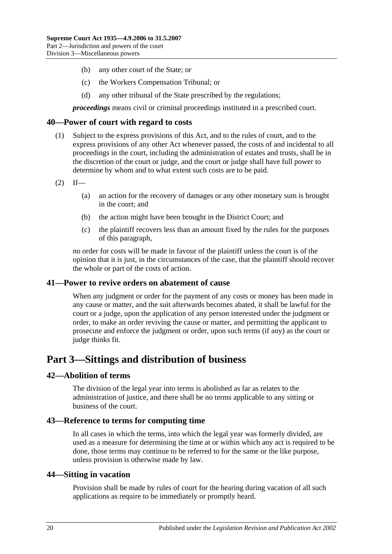- (b) any other court of the State; or
- (c) the Workers Compensation Tribunal; or
- (d) any other tribunal of the State prescribed by the regulations;

*proceedings* means civil or criminal proceedings instituted in a prescribed court.

#### <span id="page-19-0"></span>**40—Power of court with regard to costs**

- (1) Subject to the express provisions of this Act, and to the rules of court, and to the express provisions of any other Act whenever passed, the costs of and incidental to all proceedings in the court, including the administration of estates and trusts, shall be in the discretion of the court or judge, and the court or judge shall have full power to determine by whom and to what extent such costs are to be paid.
- $(2)$  If—
	- (a) an action for the recovery of damages or any other monetary sum is brought in the court; and
	- (b) the action might have been brought in the District Court; and
	- (c) the plaintiff recovers less than an amount fixed by the rules for the purposes of this paragraph,

no order for costs will be made in favour of the plaintiff unless the court is of the opinion that it is just, in the circumstances of the case, that the plaintiff should recover the whole or part of the costs of action.

#### <span id="page-19-1"></span>**41—Power to revive orders on abatement of cause**

When any judgment or order for the payment of any costs or money has been made in any cause or matter, and the suit afterwards becomes abated, it shall be lawful for the court or a judge, upon the application of any person interested under the judgment or order, to make an order reviving the cause or matter, and permitting the applicant to prosecute and enforce the judgment or order, upon such terms (if any) as the court or judge thinks fit.

## <span id="page-19-2"></span>**Part 3—Sittings and distribution of business**

#### <span id="page-19-3"></span>**42—Abolition of terms**

The division of the legal year into terms is abolished as far as relates to the administration of justice, and there shall be no terms applicable to any sitting or business of the court.

#### <span id="page-19-4"></span>**43—Reference to terms for computing time**

In all cases in which the terms, into which the legal year was formerly divided, are used as a measure for determining the time at or within which any act is required to be done, those terms may continue to be referred to for the same or the like purpose, unless provision is otherwise made by law.

#### <span id="page-19-5"></span>**44—Sitting in vacation**

Provision shall be made by rules of court for the hearing during vacation of all such applications as require to be immediately or promptly heard.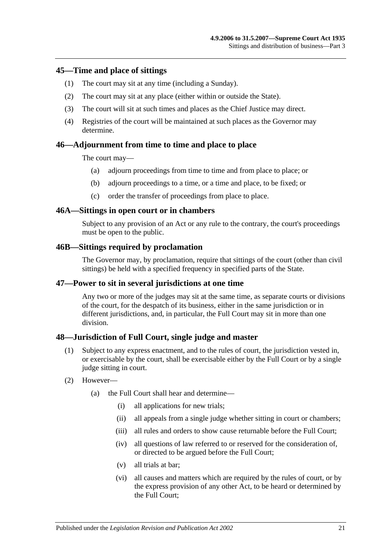#### <span id="page-20-0"></span>**45—Time and place of sittings**

- (1) The court may sit at any time (including a Sunday).
- (2) The court may sit at any place (either within or outside the State).
- (3) The court will sit at such times and places as the Chief Justice may direct.
- (4) Registries of the court will be maintained at such places as the Governor may determine.

### <span id="page-20-1"></span>**46—Adjournment from time to time and place to place**

The court may—

- (a) adjourn proceedings from time to time and from place to place; or
- (b) adjourn proceedings to a time, or a time and place, to be fixed; or
- (c) order the transfer of proceedings from place to place.

#### <span id="page-20-2"></span>**46A—Sittings in open court or in chambers**

Subject to any provision of an Act or any rule to the contrary, the court's proceedings must be open to the public.

#### <span id="page-20-3"></span>**46B—Sittings required by proclamation**

The Governor may, by proclamation, require that sittings of the court (other than civil sittings) be held with a specified frequency in specified parts of the State.

#### <span id="page-20-4"></span>**47—Power to sit in several jurisdictions at one time**

Any two or more of the judges may sit at the same time, as separate courts or divisions of the court, for the despatch of its business, either in the same jurisdiction or in different jurisdictions, and, in particular, the Full Court may sit in more than one division.

#### <span id="page-20-5"></span>**48—Jurisdiction of Full Court, single judge and master**

- (1) Subject to any express enactment, and to the rules of court, the jurisdiction vested in, or exercisable by the court, shall be exercisable either by the Full Court or by a single judge sitting in court.
- (2) However—
	- (a) the Full Court shall hear and determine—
		- (i) all applications for new trials;
		- (ii) all appeals from a single judge whether sitting in court or chambers;
		- (iii) all rules and orders to show cause returnable before the Full Court:
		- (iv) all questions of law referred to or reserved for the consideration of, or directed to be argued before the Full Court;
		- (v) all trials at bar;
		- (vi) all causes and matters which are required by the rules of court, or by the express provision of any other Act, to be heard or determined by the Full Court;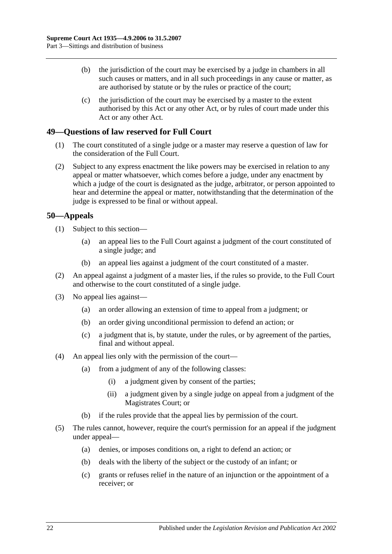- (b) the jurisdiction of the court may be exercised by a judge in chambers in all such causes or matters, and in all such proceedings in any cause or matter, as are authorised by statute or by the rules or practice of the court;
- (c) the jurisdiction of the court may be exercised by a master to the extent authorised by this Act or any other Act, or by rules of court made under this Act or any other Act.

## <span id="page-21-0"></span>**49—Questions of law reserved for Full Court**

- (1) The court constituted of a single judge or a master may reserve a question of law for the consideration of the Full Court.
- (2) Subject to any express enactment the like powers may be exercised in relation to any appeal or matter whatsoever, which comes before a judge, under any enactment by which a judge of the court is designated as the judge, arbitrator, or person appointed to hear and determine the appeal or matter, notwithstanding that the determination of the judge is expressed to be final or without appeal.

## <span id="page-21-1"></span>**50—Appeals**

- (1) Subject to this section—
	- (a) an appeal lies to the Full Court against a judgment of the court constituted of a single judge; and
	- (b) an appeal lies against a judgment of the court constituted of a master.
- (2) An appeal against a judgment of a master lies, if the rules so provide, to the Full Court and otherwise to the court constituted of a single judge.
- (3) No appeal lies against—
	- (a) an order allowing an extension of time to appeal from a judgment; or
	- (b) an order giving unconditional permission to defend an action; or
	- (c) a judgment that is, by statute, under the rules, or by agreement of the parties, final and without appeal.
- (4) An appeal lies only with the permission of the court—
	- (a) from a judgment of any of the following classes:
		- (i) a judgment given by consent of the parties;
		- (ii) a judgment given by a single judge on appeal from a judgment of the Magistrates Court; or
	- (b) if the rules provide that the appeal lies by permission of the court.
- (5) The rules cannot, however, require the court's permission for an appeal if the judgment under appeal—
	- (a) denies, or imposes conditions on, a right to defend an action; or
	- (b) deals with the liberty of the subject or the custody of an infant; or
	- (c) grants or refuses relief in the nature of an injunction or the appointment of a receiver; or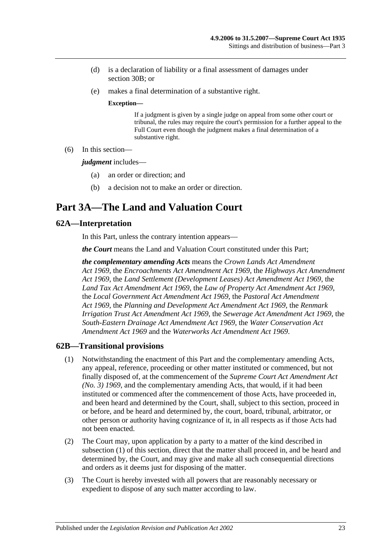- (d) is a declaration of liability or a final assessment of damages under section 30B; or
- (e) makes a final determination of a substantive right.

#### **Exception—**

If a judgment is given by a single judge on appeal from some other court or tribunal, the rules may require the court's permission for a further appeal to the Full Court even though the judgment makes a final determination of a substantive right.

(6) In this section—

*judgment* includes—

- (a) an order or direction; and
- (b) a decision not to make an order or direction.

## <span id="page-22-0"></span>**Part 3A—The Land and Valuation Court**

### <span id="page-22-1"></span>**62A—Interpretation**

In this Part, unless the contrary intention appears—

*the Court* means the Land and Valuation Court constituted under this Part;

*the complementary amending Acts* means the *[Crown Lands Act Amendment](http://www.legislation.sa.gov.au/index.aspx?action=legref&type=act&legtitle=Crown%20Lands%20Act%20Amendment%20Act%201969)  Act [1969](http://www.legislation.sa.gov.au/index.aspx?action=legref&type=act&legtitle=Crown%20Lands%20Act%20Amendment%20Act%201969)*, the *[Encroachments Act Amendment Act](http://www.legislation.sa.gov.au/index.aspx?action=legref&type=act&legtitle=Encroachments%20Act%20Amendment%20Act%201969) 1969*, the *[Highways Act Amendment](http://www.legislation.sa.gov.au/index.aspx?action=legref&type=act&legtitle=Highways%20Act%20Amendment%20Act%201969)  Act [1969](http://www.legislation.sa.gov.au/index.aspx?action=legref&type=act&legtitle=Highways%20Act%20Amendment%20Act%201969)*, the *[Land Settlement \(Development Leases\) Act Amendment Act](http://www.legislation.sa.gov.au/index.aspx?action=legref&type=act&legtitle=Land%20Settlement%20(Development%20Leases)%20Act%20Amendment%20Act%201969) 1969*, the *[Land Tax Act Amendment Act](http://www.legislation.sa.gov.au/index.aspx?action=legref&type=act&legtitle=Land%20Tax%20Act%20Amendment%20Act%201969) 1969*, the *[Law of Property Act Amendment Act](http://www.legislation.sa.gov.au/index.aspx?action=legref&type=act&legtitle=Law%20of%20Property%20Act%20Amendment%20Act%201969) 1969*, the *[Local Government Act Amendment Act](http://www.legislation.sa.gov.au/index.aspx?action=legref&type=act&legtitle=Local%20Government%20Act%20Amendment%20Act%201969) 1969*, the *[Pastoral Act Amendment](http://www.legislation.sa.gov.au/index.aspx?action=legref&type=act&legtitle=Pastoral%20Act%20Amendment%20Act%201969)  Act [1969](http://www.legislation.sa.gov.au/index.aspx?action=legref&type=act&legtitle=Pastoral%20Act%20Amendment%20Act%201969)*, the *[Planning and Development Act Amendment Act](http://www.legislation.sa.gov.au/index.aspx?action=legref&type=act&legtitle=Planning%20and%20Development%20Act%20Amendment%20Act%201969) 1969*, the *[Renmark](http://www.legislation.sa.gov.au/index.aspx?action=legref&type=act&legtitle=Renmark%20Irrigation%20Trust%20Act%20Amendment%20Act%201969)  [Irrigation Trust Act Amendment Act](http://www.legislation.sa.gov.au/index.aspx?action=legref&type=act&legtitle=Renmark%20Irrigation%20Trust%20Act%20Amendment%20Act%201969) 1969*, the *[Sewerage Act Amendment Act](http://www.legislation.sa.gov.au/index.aspx?action=legref&type=act&legtitle=Sewerage%20Act%20Amendment%20Act%201969) 1969*, the *[South-Eastern Drainage Act Amendment Act](http://www.legislation.sa.gov.au/index.aspx?action=legref&type=act&legtitle=South-Eastern%20Drainage%20Act%20Amendment%20Act%201969) 1969*, the *[Water Conservation Act](http://www.legislation.sa.gov.au/index.aspx?action=legref&type=act&legtitle=Water%20Conservation%20Act%20Amendment%20Act%201969)  [Amendment Act](http://www.legislation.sa.gov.au/index.aspx?action=legref&type=act&legtitle=Water%20Conservation%20Act%20Amendment%20Act%201969) 1969* and the *[Waterworks Act Amendment Act](http://www.legislation.sa.gov.au/index.aspx?action=legref&type=act&legtitle=Waterworks%20Act%20Amendment%20Act%201969) 1969*.

#### <span id="page-22-3"></span><span id="page-22-2"></span>**62B—Transitional provisions**

- (1) Notwithstanding the enactment of this Part and the complementary amending Acts, any appeal, reference, proceeding or other matter instituted or commenced, but not finally disposed of, at the commencement of the *[Supreme Court Act Amendment Act](http://www.legislation.sa.gov.au/index.aspx?action=legref&type=act&legtitle=Supreme%20Court%20Act%20Amendment%20Act%20(No.%203)%201969)  [\(No. 3\)](http://www.legislation.sa.gov.au/index.aspx?action=legref&type=act&legtitle=Supreme%20Court%20Act%20Amendment%20Act%20(No.%203)%201969) 1969*, and the complementary amending Acts, that would, if it had been instituted or commenced after the commencement of those Acts, have proceeded in, and been heard and determined by the Court, shall, subject to this section, proceed in or before, and be heard and determined by, the court, board, tribunal, arbitrator, or other person or authority having cognizance of it, in all respects as if those Acts had not been enacted.
- (2) The Court may, upon application by a party to a matter of the kind described in [subsection](#page-22-3) (1) of this section, direct that the matter shall proceed in, and be heard and determined by, the Court, and may give and make all such consequential directions and orders as it deems just for disposing of the matter.
- (3) The Court is hereby invested with all powers that are reasonably necessary or expedient to dispose of any such matter according to law.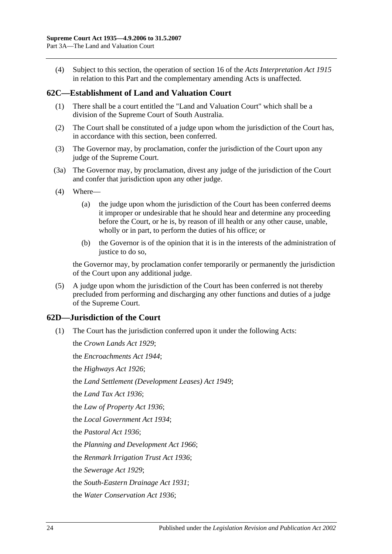(4) Subject to this section, the operation of section 16 of the *[Acts Interpretation Act](http://www.legislation.sa.gov.au/index.aspx?action=legref&type=act&legtitle=Acts%20Interpretation%20Act%201915) 1915* in relation to this Part and the complementary amending Acts is unaffected.

## <span id="page-23-0"></span>**62C—Establishment of Land and Valuation Court**

- (1) There shall be a court entitled the "Land and Valuation Court" which shall be a division of the Supreme Court of South Australia.
- (2) The Court shall be constituted of a judge upon whom the jurisdiction of the Court has, in accordance with this section, been conferred.
- (3) The Governor may, by proclamation, confer the jurisdiction of the Court upon any judge of the Supreme Court.
- (3a) The Governor may, by proclamation, divest any judge of the jurisdiction of the Court and confer that jurisdiction upon any other judge.
- (4) Where—
	- (a) the judge upon whom the jurisdiction of the Court has been conferred deems it improper or undesirable that he should hear and determine any proceeding before the Court, or he is, by reason of ill health or any other cause, unable, wholly or in part, to perform the duties of his office; or
	- (b) the Governor is of the opinion that it is in the interests of the administration of justice to do so.

the Governor may, by proclamation confer temporarily or permanently the jurisdiction of the Court upon any additional judge.

(5) A judge upon whom the jurisdiction of the Court has been conferred is not thereby precluded from performing and discharging any other functions and duties of a judge of the Supreme Court.

## <span id="page-23-1"></span>**62D—Jurisdiction of the Court**

(1) The Court has the jurisdiction conferred upon it under the following Acts:

the *[Crown Lands Act](http://www.legislation.sa.gov.au/index.aspx?action=legref&type=act&legtitle=Crown%20Lands%20Act%201929) 1929*; the *[Encroachments Act](http://www.legislation.sa.gov.au/index.aspx?action=legref&type=act&legtitle=Encroachments%20Act%201944) 1944*; the *[Highways Act](http://www.legislation.sa.gov.au/index.aspx?action=legref&type=act&legtitle=Highways%20Act%201926) 1926*; the *[Land Settlement \(Development Leases\) Act](http://www.legislation.sa.gov.au/index.aspx?action=legref&type=act&legtitle=Land%20Settlement%20(Development%20Leases)%20Act%201949) 1949*; the *[Land Tax Act](http://www.legislation.sa.gov.au/index.aspx?action=legref&type=act&legtitle=Land%20Tax%20Act%201936) 1936*; the *[Law of Property Act](http://www.legislation.sa.gov.au/index.aspx?action=legref&type=act&legtitle=Law%20of%20Property%20Act%201936) 1936*; the *[Local Government Act](http://www.legislation.sa.gov.au/index.aspx?action=legref&type=act&legtitle=Local%20Government%20Act%201934) 1934*; the *[Pastoral Act](http://www.legislation.sa.gov.au/index.aspx?action=legref&type=act&legtitle=Pastoral%20Act%201936) 1936*; the *[Planning and Development Act](http://www.legislation.sa.gov.au/index.aspx?action=legref&type=act&legtitle=Planning%20and%20Development%20Act%201966) 1966*; the *[Renmark Irrigation Trust Act](http://www.legislation.sa.gov.au/index.aspx?action=legref&type=act&legtitle=Renmark%20Irrigation%20Trust%20Act%201936) 1936*; the *[Sewerage Act](http://www.legislation.sa.gov.au/index.aspx?action=legref&type=act&legtitle=Sewerage%20Act%201929) 1929*; the *[South-Eastern Drainage Act](http://www.legislation.sa.gov.au/index.aspx?action=legref&type=act&legtitle=South-Eastern%20Drainage%20Act%201931) 1931*; the *[Water Conservation Act](http://www.legislation.sa.gov.au/index.aspx?action=legref&type=act&legtitle=Water%20Conservation%20Act%201936) 1936*;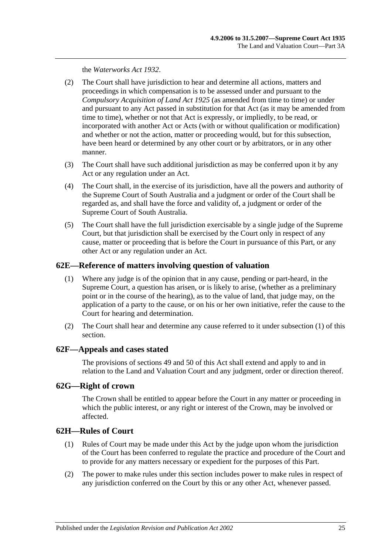the *[Waterworks Act](http://www.legislation.sa.gov.au/index.aspx?action=legref&type=act&legtitle=Waterworks%20Act%201932) 1932*.

- (2) The Court shall have jurisdiction to hear and determine all actions, matters and proceedings in which compensation is to be assessed under and pursuant to the *[Compulsory Acquisition of Land Act](http://www.legislation.sa.gov.au/index.aspx?action=legref&type=act&legtitle=Compulsory%20Acquisition%20of%20Land%20Act%201925) 1925* (as amended from time to time) or under and pursuant to any Act passed in substitution for that Act (as it may be amended from time to time), whether or not that Act is expressly, or impliedly, to be read, or incorporated with another Act or Acts (with or without qualification or modification) and whether or not the action, matter or proceeding would, but for this subsection, have been heard or determined by any other court or by arbitrators, or in any other manner.
- (3) The Court shall have such additional jurisdiction as may be conferred upon it by any Act or any regulation under an Act.
- (4) The Court shall, in the exercise of its jurisdiction, have all the powers and authority of the Supreme Court of South Australia and a judgment or order of the Court shall be regarded as, and shall have the force and validity of, a judgment or order of the Supreme Court of South Australia.
- (5) The Court shall have the full jurisdiction exercisable by a single judge of the Supreme Court, but that jurisdiction shall be exercised by the Court only in respect of any cause, matter or proceeding that is before the Court in pursuance of this Part, or any other Act or any regulation under an Act.

### <span id="page-24-4"></span><span id="page-24-0"></span>**62E—Reference of matters involving question of valuation**

- (1) Where any judge is of the opinion that in any cause, pending or part-heard, in the Supreme Court, a question has arisen, or is likely to arise, (whether as a preliminary point or in the course of the hearing), as to the value of land, that judge may, on the application of a party to the cause, or on his or her own initiative, refer the cause to the Court for hearing and determination.
- (2) The Court shall hear and determine any cause referred to it under [subsection](#page-24-4) (1) of this section.

#### <span id="page-24-1"></span>**62F—Appeals and cases stated**

The provisions of [sections](#page-21-0) 49 and 50 of this Act shall extend and apply to and in relation to the Land and Valuation Court and any judgment, order or direction thereof.

## <span id="page-24-2"></span>**62G—Right of crown**

The Crown shall be entitled to appear before the Court in any matter or proceeding in which the public interest, or any right or interest of the Crown, may be involved or affected.

## <span id="page-24-3"></span>**62H—Rules of Court**

- (1) Rules of Court may be made under this Act by the judge upon whom the jurisdiction of the Court has been conferred to regulate the practice and procedure of the Court and to provide for any matters necessary or expedient for the purposes of this Part.
- (2) The power to make rules under this section includes power to make rules in respect of any jurisdiction conferred on the Court by this or any other Act, whenever passed.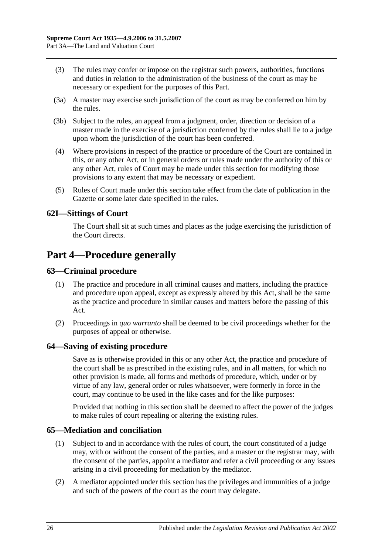- (3) The rules may confer or impose on the registrar such powers, authorities, functions and duties in relation to the administration of the business of the court as may be necessary or expedient for the purposes of this Part.
- (3a) A master may exercise such jurisdiction of the court as may be conferred on him by the rules.
- (3b) Subject to the rules, an appeal from a judgment, order, direction or decision of a master made in the exercise of a jurisdiction conferred by the rules shall lie to a judge upon whom the jurisdiction of the court has been conferred.
- (4) Where provisions in respect of the practice or procedure of the Court are contained in this, or any other Act, or in general orders or rules made under the authority of this or any other Act, rules of Court may be made under this section for modifying those provisions to any extent that may be necessary or expedient.
- (5) Rules of Court made under this section take effect from the date of publication in the Gazette or some later date specified in the rules.

## <span id="page-25-0"></span>**62I—Sittings of Court**

The Court shall sit at such times and places as the judge exercising the jurisdiction of the Court directs.

## <span id="page-25-1"></span>**Part 4—Procedure generally**

## <span id="page-25-2"></span>**63—Criminal procedure**

- (1) The practice and procedure in all criminal causes and matters, including the practice and procedure upon appeal, except as expressly altered by this Act, shall be the same as the practice and procedure in similar causes and matters before the passing of this Act.
- (2) Proceedings in *quo warranto* shall be deemed to be civil proceedings whether for the purposes of appeal or otherwise.

#### <span id="page-25-3"></span>**64—Saving of existing procedure**

Save as is otherwise provided in this or any other Act, the practice and procedure of the court shall be as prescribed in the existing rules, and in all matters, for which no other provision is made, all forms and methods of procedure, which, under or by virtue of any law, general order or rules whatsoever, were formerly in force in the court, may continue to be used in the like cases and for the like purposes:

Provided that nothing in this section shall be deemed to affect the power of the judges to make rules of court repealing or altering the existing rules.

#### <span id="page-25-4"></span>**65—Mediation and conciliation**

- (1) Subject to and in accordance with the rules of court, the court constituted of a judge may, with or without the consent of the parties, and a master or the registrar may, with the consent of the parties, appoint a mediator and refer a civil proceeding or any issues arising in a civil proceeding for mediation by the mediator.
- (2) A mediator appointed under this section has the privileges and immunities of a judge and such of the powers of the court as the court may delegate.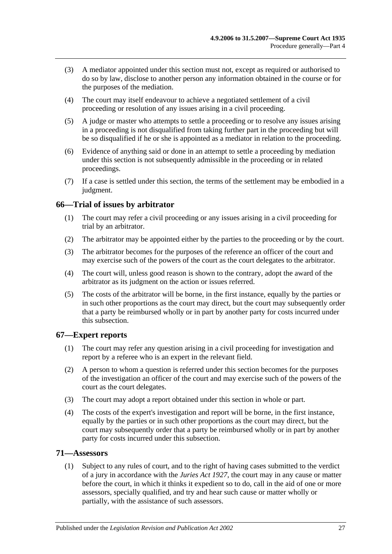- (3) A mediator appointed under this section must not, except as required or authorised to do so by law, disclose to another person any information obtained in the course or for the purposes of the mediation.
- (4) The court may itself endeavour to achieve a negotiated settlement of a civil proceeding or resolution of any issues arising in a civil proceeding.
- (5) A judge or master who attempts to settle a proceeding or to resolve any issues arising in a proceeding is not disqualified from taking further part in the proceeding but will be so disqualified if he or she is appointed as a mediator in relation to the proceeding.
- (6) Evidence of anything said or done in an attempt to settle a proceeding by mediation under this section is not subsequently admissible in the proceeding or in related proceedings.
- (7) If a case is settled under this section, the terms of the settlement may be embodied in a judgment.

## <span id="page-26-0"></span>**66—Trial of issues by arbitrator**

- (1) The court may refer a civil proceeding or any issues arising in a civil proceeding for trial by an arbitrator.
- (2) The arbitrator may be appointed either by the parties to the proceeding or by the court.
- (3) The arbitrator becomes for the purposes of the reference an officer of the court and may exercise such of the powers of the court as the court delegates to the arbitrator.
- (4) The court will, unless good reason is shown to the contrary, adopt the award of the arbitrator as its judgment on the action or issues referred.
- (5) The costs of the arbitrator will be borne, in the first instance, equally by the parties or in such other proportions as the court may direct, but the court may subsequently order that a party be reimbursed wholly or in part by another party for costs incurred under this subsection.

## <span id="page-26-1"></span>**67—Expert reports**

- (1) The court may refer any question arising in a civil proceeding for investigation and report by a referee who is an expert in the relevant field.
- (2) A person to whom a question is referred under this section becomes for the purposes of the investigation an officer of the court and may exercise such of the powers of the court as the court delegates.
- (3) The court may adopt a report obtained under this section in whole or part.
- (4) The costs of the expert's investigation and report will be borne, in the first instance, equally by the parties or in such other proportions as the court may direct, but the court may subsequently order that a party be reimbursed wholly or in part by another party for costs incurred under this subsection.

## <span id="page-26-2"></span>**71—Assessors**

(1) Subject to any rules of court, and to the right of having cases submitted to the verdict of a jury in accordance with the *[Juries Act](http://www.legislation.sa.gov.au/index.aspx?action=legref&type=act&legtitle=Juries%20Act%201927) 1927*, the court may in any cause or matter before the court, in which it thinks it expedient so to do, call in the aid of one or more assessors, specially qualified, and try and hear such cause or matter wholly or partially, with the assistance of such assessors.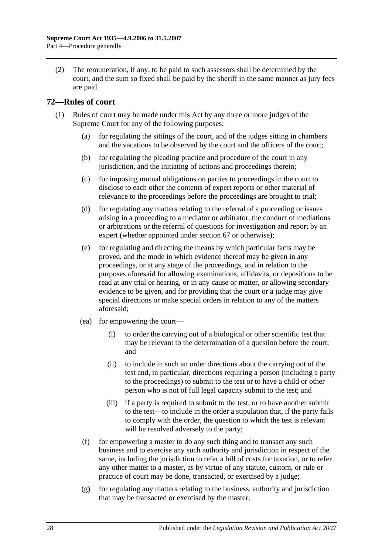(2) The remuneration, if any, to be paid to such assessors shall be determined by the court, and the sum so fixed shall be paid by the sheriff in the same manner as jury fees are paid.

## <span id="page-27-0"></span>**72—Rules of court**

- (1) Rules of court may be made under this Act by any three or more judges of the Supreme Court for any of the following purposes:
	- (a) for regulating the sittings of the court, and of the judges sitting in chambers and the vacations to be observed by the court and the officers of the court;
	- (b) for regulating the pleading practice and procedure of the court in any jurisdiction, and the initiating of actions and proceedings therein;
	- (c) for imposing mutual obligations on parties to proceedings in the court to disclose to each other the contents of expert reports or other material of relevance to the proceedings before the proceedings are brought to trial;
	- (d) for regulating any matters relating to the referral of a proceeding or issues arising in a proceeding to a mediator or arbitrator, the conduct of mediations or arbitrations or the referral of questions for investigation and report by an expert (whether appointed under [section](#page-26-1) 67 or otherwise);
	- (e) for regulating and directing the means by which particular facts may be proved, and the mode in which evidence thereof may be given in any proceedings, or at any stage of the proceedings, and in relation to the purposes aforesaid for allowing examinations, affidavits, or depositions to be read at any trial or hearing, or in any cause or matter, or allowing secondary evidence to be given, and for providing that the court or a judge may give special directions or make special orders in relation to any of the matters aforesaid;
	- (ea) for empowering the court—
		- (i) to order the carrying out of a biological or other scientific test that may be relevant to the determination of a question before the court; and
		- (ii) to include in such an order directions about the carrying out of the test and, in particular, directions requiring a person (including a party to the proceedings) to submit to the test or to have a child or other person who is not of full legal capacity submit to the test; and
		- (iii) if a party is required to submit to the test, or to have another submit to the test—to include in the order a stipulation that, if the party fails to comply with the order, the question to which the test is relevant will be resolved adversely to the party;
	- (f) for empowering a master to do any such thing and to transact any such business and to exercise any such authority and jurisdiction in respect of the same, including the jurisdiction to refer a bill of costs for taxation, or to refer any other matter to a master, as by virtue of any statute, custom, or rule or practice of court may be done, transacted, or exercised by a judge;
	- $(g)$  for regulating any matters relating to the business, authority and jurisdiction that may be transacted or exercised by the master;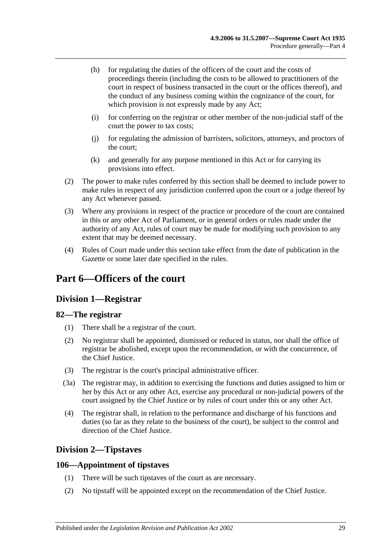- (h) for regulating the duties of the officers of the court and the costs of proceedings therein (including the costs to be allowed to practitioners of the court in respect of business transacted in the court or the offices thereof), and the conduct of any business coming within the cognizance of the court, for which provision is not expressly made by any Act;
- (i) for conferring on the registrar or other member of the non-judicial staff of the court the power to tax costs;
- (j) for regulating the admission of barristers, solicitors, attorneys, and proctors of the court;
- (k) and generally for any purpose mentioned in this Act or for carrying its provisions into effect.
- (2) The power to make rules conferred by this section shall be deemed to include power to make rules in respect of any jurisdiction conferred upon the court or a judge thereof by any Act whenever passed.
- (3) Where any provisions in respect of the practice or procedure of the court are contained in this or any other Act of Parliament, or in general orders or rules made under the authority of any Act, rules of court may be made for modifying such provision to any extent that may be deemed necessary.
- (4) Rules of Court made under this section take effect from the date of publication in the Gazette or some later date specified in the rules.

## <span id="page-28-1"></span><span id="page-28-0"></span>**Part 6—Officers of the court**

## **Division 1—Registrar**

## <span id="page-28-2"></span>**82—The registrar**

- (1) There shall be a registrar of the court.
- (2) No registrar shall be appointed, dismissed or reduced in status, nor shall the office of registrar be abolished, except upon the recommendation, or with the concurrence, of the Chief Justice.
- (3) The registrar is the court's principal administrative officer.
- (3a) The registrar may, in addition to exercising the functions and duties assigned to him or her by this Act or any other Act, exercise any procedural or non-judicial powers of the court assigned by the Chief Justice or by rules of court under this or any other Act.
- (4) The registrar shall, in relation to the performance and discharge of his functions and duties (so far as they relate to the business of the court), be subject to the control and direction of the Chief Justice.

## <span id="page-28-3"></span>**Division 2—Tipstaves**

## <span id="page-28-4"></span>**106—Appointment of tipstaves**

- (1) There will be such tipstaves of the court as are necessary.
- (2) No tipstaff will be appointed except on the recommendation of the Chief Justice.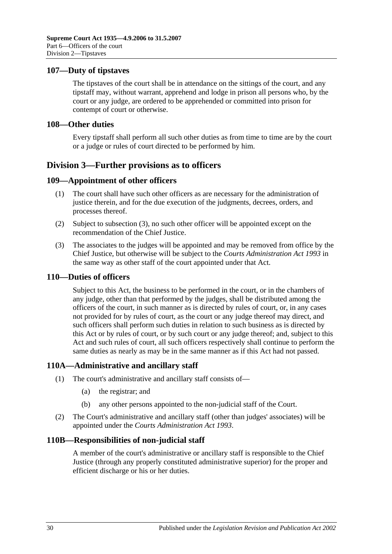### <span id="page-29-0"></span>**107—Duty of tipstaves**

The tipstaves of the court shall be in attendance on the sittings of the court, and any tipstaff may, without warrant, apprehend and lodge in prison all persons who, by the court or any judge, are ordered to be apprehended or committed into prison for contempt of court or otherwise.

#### <span id="page-29-1"></span>**108—Other duties**

Every tipstaff shall perform all such other duties as from time to time are by the court or a judge or rules of court directed to be performed by him.

## <span id="page-29-2"></span>**Division 3—Further provisions as to officers**

### <span id="page-29-3"></span>**109—Appointment of other officers**

- (1) The court shall have such other officers as are necessary for the administration of justice therein, and for the due execution of the judgments, decrees, orders, and processes thereof.
- (2) Subject to [subsection](#page-29-7) (3), no such other officer will be appointed except on the recommendation of the Chief Justice.
- <span id="page-29-7"></span>(3) The associates to the judges will be appointed and may be removed from office by the Chief Justice, but otherwise will be subject to the *[Courts Administration Act](http://www.legislation.sa.gov.au/index.aspx?action=legref&type=act&legtitle=Courts%20Administration%20Act%201993) 1993* in the same way as other staff of the court appointed under that Act.

#### <span id="page-29-4"></span>**110—Duties of officers**

Subject to this Act, the business to be performed in the court, or in the chambers of any judge, other than that performed by the judges, shall be distributed among the officers of the court, in such manner as is directed by rules of court, or, in any cases not provided for by rules of court, as the court or any judge thereof may direct, and such officers shall perform such duties in relation to such business as is directed by this Act or by rules of court, or by such court or any judge thereof; and, subject to this Act and such rules of court, all such officers respectively shall continue to perform the same duties as nearly as may be in the same manner as if this Act had not passed.

## <span id="page-29-5"></span>**110A—Administrative and ancillary staff**

- (1) The court's administrative and ancillary staff consists of—
	- (a) the registrar; and
	- (b) any other persons appointed to the non-judicial staff of the Court.
- (2) The Court's administrative and ancillary staff (other than judges' associates) will be appointed under the *[Courts Administration Act](http://www.legislation.sa.gov.au/index.aspx?action=legref&type=act&legtitle=Courts%20Administration%20Act%201993) 1993*.

#### <span id="page-29-6"></span>**110B—Responsibilities of non-judicial staff**

A member of the court's administrative or ancillary staff is responsible to the Chief Justice (through any properly constituted administrative superior) for the proper and efficient discharge or his or her duties.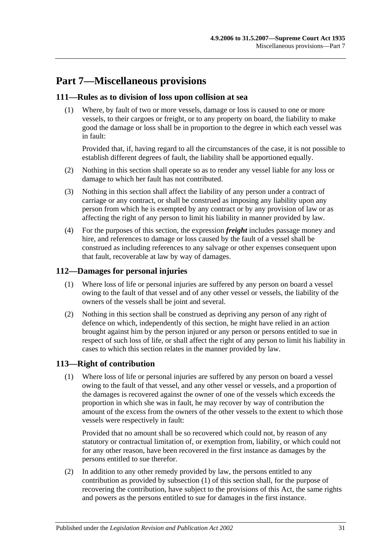# <span id="page-30-0"></span>**Part 7—Miscellaneous provisions**

### <span id="page-30-1"></span>**111—Rules as to division of loss upon collision at sea**

(1) Where, by fault of two or more vessels, damage or loss is caused to one or more vessels, to their cargoes or freight, or to any property on board, the liability to make good the damage or loss shall be in proportion to the degree in which each vessel was in fault:

Provided that, if, having regard to all the circumstances of the case, it is not possible to establish different degrees of fault, the liability shall be apportioned equally.

- (2) Nothing in this section shall operate so as to render any vessel liable for any loss or damage to which her fault has not contributed.
- (3) Nothing in this section shall affect the liability of any person under a contract of carriage or any contract, or shall be construed as imposing any liability upon any person from which he is exempted by any contract or by any provision of law or as affecting the right of any person to limit his liability in manner provided by law.
- (4) For the purposes of this section, the expression *freight* includes passage money and hire, and references to damage or loss caused by the fault of a vessel shall be construed as including references to any salvage or other expenses consequent upon that fault, recoverable at law by way of damages.

## <span id="page-30-2"></span>**112—Damages for personal injuries**

- (1) Where loss of life or personal injuries are suffered by any person on board a vessel owing to the fault of that vessel and of any other vessel or vessels, the liability of the owners of the vessels shall be joint and several.
- (2) Nothing in this section shall be construed as depriving any person of any right of defence on which, independently of this section, he might have relied in an action brought against him by the person injured or any person or persons entitled to sue in respect of such loss of life, or shall affect the right of any person to limit his liability in cases to which this section relates in the manner provided by law.

## <span id="page-30-4"></span><span id="page-30-3"></span>**113—Right of contribution**

(1) Where loss of life or personal injuries are suffered by any person on board a vessel owing to the fault of that vessel, and any other vessel or vessels, and a proportion of the damages is recovered against the owner of one of the vessels which exceeds the proportion in which she was in fault, he may recover by way of contribution the amount of the excess from the owners of the other vessels to the extent to which those vessels were respectively in fault:

Provided that no amount shall be so recovered which could not, by reason of any statutory or contractual limitation of, or exemption from, liability, or which could not for any other reason, have been recovered in the first instance as damages by the persons entitled to sue therefor.

(2) In addition to any other remedy provided by law, the persons entitled to any contribution as provided by [subsection](#page-30-4) (1) of this section shall, for the purpose of recovering the contribution, have subject to the provisions of this Act, the same rights and powers as the persons entitled to sue for damages in the first instance.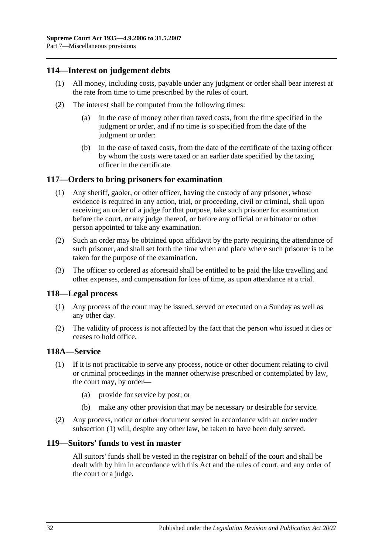## <span id="page-31-0"></span>**114—Interest on judgement debts**

- (1) All money, including costs, payable under any judgment or order shall bear interest at the rate from time to time prescribed by the rules of court.
- (2) The interest shall be computed from the following times:
	- (a) in the case of money other than taxed costs, from the time specified in the judgment or order, and if no time is so specified from the date of the judgment or order:
	- (b) in the case of taxed costs, from the date of the certificate of the taxing officer by whom the costs were taxed or an earlier date specified by the taxing officer in the certificate.

### <span id="page-31-1"></span>**117—Orders to bring prisoners for examination**

- (1) Any sheriff, gaoler, or other officer, having the custody of any prisoner, whose evidence is required in any action, trial, or proceeding, civil or criminal, shall upon receiving an order of a judge for that purpose, take such prisoner for examination before the court, or any judge thereof, or before any official or arbitrator or other person appointed to take any examination.
- (2) Such an order may be obtained upon affidavit by the party requiring the attendance of such prisoner, and shall set forth the time when and place where such prisoner is to be taken for the purpose of the examination.
- (3) The officer so ordered as aforesaid shall be entitled to be paid the like travelling and other expenses, and compensation for loss of time, as upon attendance at a trial.

#### <span id="page-31-2"></span>**118—Legal process**

- (1) Any process of the court may be issued, served or executed on a Sunday as well as any other day.
- (2) The validity of process is not affected by the fact that the person who issued it dies or ceases to hold office.

#### <span id="page-31-5"></span><span id="page-31-3"></span>**118A—Service**

- (1) If it is not practicable to serve any process, notice or other document relating to civil or criminal proceedings in the manner otherwise prescribed or contemplated by law, the court may, by order—
	- (a) provide for service by post; or
	- (b) make any other provision that may be necessary or desirable for service.
- (2) Any process, notice or other document served in accordance with an order under [subsection](#page-31-5) (1) will, despite any other law, be taken to have been duly served.

#### <span id="page-31-4"></span>**119—Suitors' funds to vest in master**

All suitors' funds shall be vested in the registrar on behalf of the court and shall be dealt with by him in accordance with this Act and the rules of court, and any order of the court or a judge.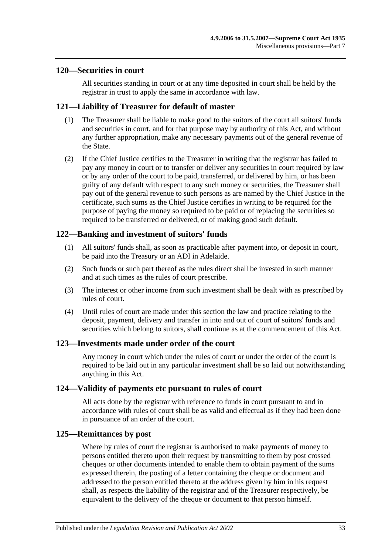#### <span id="page-32-0"></span>**120—Securities in court**

All securities standing in court or at any time deposited in court shall be held by the registrar in trust to apply the same in accordance with law.

### <span id="page-32-1"></span>**121—Liability of Treasurer for default of master**

- (1) The Treasurer shall be liable to make good to the suitors of the court all suitors' funds and securities in court, and for that purpose may by authority of this Act, and without any further appropriation, make any necessary payments out of the general revenue of the State.
- (2) If the Chief Justice certifies to the Treasurer in writing that the registrar has failed to pay any money in court or to transfer or deliver any securities in court required by law or by any order of the court to be paid, transferred, or delivered by him, or has been guilty of any default with respect to any such money or securities, the Treasurer shall pay out of the general revenue to such persons as are named by the Chief Justice in the certificate, such sums as the Chief Justice certifies in writing to be required for the purpose of paying the money so required to be paid or of replacing the securities so required to be transferred or delivered, or of making good such default.

## <span id="page-32-2"></span>**122—Banking and investment of suitors' funds**

- (1) All suitors' funds shall, as soon as practicable after payment into, or deposit in court, be paid into the Treasury or an ADI in Adelaide.
- (2) Such funds or such part thereof as the rules direct shall be invested in such manner and at such times as the rules of court prescribe.
- (3) The interest or other income from such investment shall be dealt with as prescribed by rules of court.
- (4) Until rules of court are made under this section the law and practice relating to the deposit, payment, delivery and transfer in into and out of court of suitors' funds and securities which belong to suitors, shall continue as at the commencement of this Act.

#### <span id="page-32-3"></span>**123—Investments made under order of the court**

Any money in court which under the rules of court or under the order of the court is required to be laid out in any particular investment shall be so laid out notwithstanding anything in this Act.

#### <span id="page-32-4"></span>**124—Validity of payments etc pursuant to rules of court**

All acts done by the registrar with reference to funds in court pursuant to and in accordance with rules of court shall be as valid and effectual as if they had been done in pursuance of an order of the court.

#### <span id="page-32-5"></span>**125—Remittances by post**

Where by rules of court the registrar is authorised to make payments of money to persons entitled thereto upon their request by transmitting to them by post crossed cheques or other documents intended to enable them to obtain payment of the sums expressed therein, the posting of a letter containing the cheque or document and addressed to the person entitled thereto at the address given by him in his request shall, as respects the liability of the registrar and of the Treasurer respectively, be equivalent to the delivery of the cheque or document to that person himself.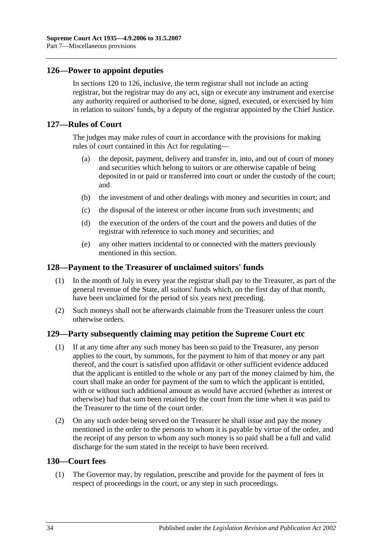## <span id="page-33-0"></span>**126—Power to appoint deputies**

In [sections](#page-32-0) 120 to 126, inclusive, the term registrar shall not include an acting registrar, but the registrar may do any act, sign or execute any instrument and exercise any authority required or authorised to be done, signed, executed, or exercised by him in relation to suitors' funds, by a deputy of the registrar appointed by the Chief Justice.

#### <span id="page-33-1"></span>**127—Rules of Court**

The judges may make rules of court in accordance with the provisions for making rules of court contained in this Act for regulating—

- (a) the deposit, payment, delivery and transfer in, into, and out of court of money and securities which belong to suitors or are otherwise capable of being deposited in or paid or transferred into court or under the custody of the court; and
- (b) the investment of and other dealings with money and securities in court; and
- (c) the disposal of the interest or other income from such investments; and
- (d) the execution of the orders of the court and the powers and duties of the registrar with reference to such money and securities; and
- (e) any other matters incidental to or connected with the matters previously mentioned in this section.

#### <span id="page-33-2"></span>**128—Payment to the Treasurer of unclaimed suitors' funds**

- (1) In the month of July in every year the registrar shall pay to the Treasurer, as part of the general revenue of the State, all suitors' funds which, on the first day of that month, have been unclaimed for the period of six years next preceding.
- (2) Such moneys shall not be afterwards claimable from the Treasurer unless the court otherwise orders.

#### <span id="page-33-3"></span>**129—Party subsequently claiming may petition the Supreme Court etc**

- (1) If at any time after any such money has been so paid to the Treasurer, any person applies to the court, by summons, for the payment to him of that money or any part thereof, and the court is satisfied upon affidavit or other sufficient evidence adduced that the applicant is entitled to the whole or any part of the money claimed by him, the court shall make an order for payment of the sum to which the applicant is entitled, with or without such additional amount as would have accrued (whether as interest or otherwise) had that sum been retained by the court from the time when it was paid to the Treasurer to the time of the court order.
- (2) On any such order being served on the Treasurer he shall issue and pay the money mentioned in the order to the persons to whom it is payable by virtue of the order, and the receipt of any person to whom any such money is so paid shall be a full and valid discharge for the sum stated in the receipt to have been received.

### <span id="page-33-4"></span>**130—Court fees**

(1) The Governor may, by regulation, prescribe and provide for the payment of fees in respect of proceedings in the court, or any step in such proceedings.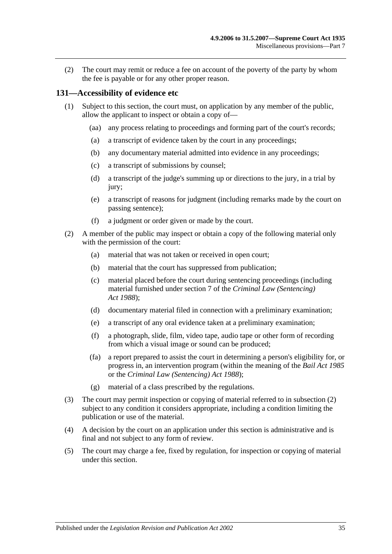(2) The court may remit or reduce a fee on account of the poverty of the party by whom the fee is payable or for any other proper reason.

#### <span id="page-34-0"></span>**131—Accessibility of evidence etc**

- (1) Subject to this section, the court must, on application by any member of the public, allow the applicant to inspect or obtain a copy of—
	- (aa) any process relating to proceedings and forming part of the court's records;
	- (a) a transcript of evidence taken by the court in any proceedings;
	- (b) any documentary material admitted into evidence in any proceedings;
	- (c) a transcript of submissions by counsel;
	- (d) a transcript of the judge's summing up or directions to the jury, in a trial by jury;
	- (e) a transcript of reasons for judgment (including remarks made by the court on passing sentence);
	- (f) a judgment or order given or made by the court.
- <span id="page-34-1"></span>(2) A member of the public may inspect or obtain a copy of the following material only with the permission of the court:
	- (a) material that was not taken or received in open court;
	- (b) material that the court has suppressed from publication;
	- (c) material placed before the court during sentencing proceedings (including material furnished under section 7 of the *[Criminal Law \(Sentencing\)](http://www.legislation.sa.gov.au/index.aspx?action=legref&type=act&legtitle=Criminal%20Law%20(Sentencing)%20Act%201988)  Act [1988](http://www.legislation.sa.gov.au/index.aspx?action=legref&type=act&legtitle=Criminal%20Law%20(Sentencing)%20Act%201988)*);
	- (d) documentary material filed in connection with a preliminary examination;
	- (e) a transcript of any oral evidence taken at a preliminary examination;
	- (f) a photograph, slide, film, video tape, audio tape or other form of recording from which a visual image or sound can be produced;
	- (fa) a report prepared to assist the court in determining a person's eligibility for, or progress in, an intervention program (within the meaning of the *[Bail Act](http://www.legislation.sa.gov.au/index.aspx?action=legref&type=act&legtitle=Bail%20Act%201985) 1985* or the *[Criminal Law \(Sentencing\) Act](http://www.legislation.sa.gov.au/index.aspx?action=legref&type=act&legtitle=Criminal%20Law%20(Sentencing)%20Act%201988) 1988*);
	- (g) material of a class prescribed by the regulations.
- (3) The court may permit inspection or copying of material referred to in [subsection](#page-34-1) (2) subject to any condition it considers appropriate, including a condition limiting the publication or use of the material.
- (4) A decision by the court on an application under this section is administrative and is final and not subject to any form of review.
- (5) The court may charge a fee, fixed by regulation, for inspection or copying of material under this section.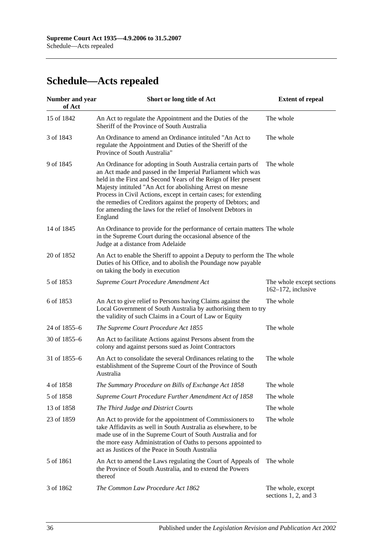# <span id="page-35-0"></span>**Schedule—Acts repealed**

| <b>Number and year</b><br>of Act | Short or long title of Act                                                                                                                                                                                                                                                                                                                                                                                                                                                  | <b>Extent of repeal</b>                            |
|----------------------------------|-----------------------------------------------------------------------------------------------------------------------------------------------------------------------------------------------------------------------------------------------------------------------------------------------------------------------------------------------------------------------------------------------------------------------------------------------------------------------------|----------------------------------------------------|
| 15 of 1842                       | An Act to regulate the Appointment and the Duties of the<br>Sheriff of the Province of South Australia                                                                                                                                                                                                                                                                                                                                                                      | The whole                                          |
| 3 of 1843                        | An Ordinance to amend an Ordinance intituled "An Act to<br>regulate the Appointment and Duties of the Sheriff of the<br>Province of South Australia"                                                                                                                                                                                                                                                                                                                        | The whole                                          |
| 9 of 1845                        | An Ordinance for adopting in South Australia certain parts of<br>an Act made and passed in the Imperial Parliament which was<br>held in the First and Second Years of the Reign of Her present<br>Majesty intituled "An Act for abolishing Arrest on mesne<br>Process in Civil Actions, except in certain cases; for extending<br>the remedies of Creditors against the property of Debtors; and<br>for amending the laws for the relief of Insolvent Debtors in<br>England | The whole                                          |
| 14 of 1845                       | An Ordinance to provide for the performance of certain matters The whole<br>in the Supreme Court during the occasional absence of the<br>Judge at a distance from Adelaide                                                                                                                                                                                                                                                                                                  |                                                    |
| 20 of 1852                       | An Act to enable the Sheriff to appoint a Deputy to perform the The whole<br>Duties of his Office, and to abolish the Poundage now payable<br>on taking the body in execution                                                                                                                                                                                                                                                                                               |                                                    |
| 5 of 1853                        | Supreme Court Procedure Amendment Act                                                                                                                                                                                                                                                                                                                                                                                                                                       | The whole except sections<br>$162-172$ , inclusive |
| 6 of 1853                        | An Act to give relief to Persons having Claims against the<br>Local Government of South Australia by authorising them to try<br>the validity of such Claims in a Court of Law or Equity                                                                                                                                                                                                                                                                                     | The whole                                          |
| 24 of 1855-6                     | The Supreme Court Procedure Act 1855                                                                                                                                                                                                                                                                                                                                                                                                                                        | The whole                                          |
| 30 of 1855-6                     | An Act to facilitate Actions against Persons absent from the<br>colony and against persons sued as Joint Contractors                                                                                                                                                                                                                                                                                                                                                        |                                                    |
| 31 of 1855-6                     | An Act to consolidate the several Ordinances relating to the<br>establishment of the Supreme Court of the Province of South<br>Australia                                                                                                                                                                                                                                                                                                                                    | The whole                                          |
| 4 of 1858                        | The Summary Procedure on Bills of Exchange Act 1858                                                                                                                                                                                                                                                                                                                                                                                                                         | The whole                                          |
| 5 of 1858                        | Supreme Court Procedure Further Amendment Act of 1858                                                                                                                                                                                                                                                                                                                                                                                                                       | The whole                                          |
| 13 of 1858                       | The Third Judge and District Courts                                                                                                                                                                                                                                                                                                                                                                                                                                         | The whole                                          |
| 23 of 1859                       | An Act to provide for the appointment of Commissioners to<br>take Affidavits as well in South Australia as elsewhere, to be<br>made use of in the Supreme Court of South Australia and for<br>the more easy Administration of Oaths to persons appointed to<br>act as Justices of the Peace in South Australia                                                                                                                                                              | The whole                                          |
| 5 of 1861                        | An Act to amend the Laws regulating the Court of Appeals of<br>the Province of South Australia, and to extend the Powers<br>thereof                                                                                                                                                                                                                                                                                                                                         | The whole                                          |
| 3 of 1862                        | The Common Law Procedure Act 1862                                                                                                                                                                                                                                                                                                                                                                                                                                           | The whole, except<br>sections 1, 2, and 3          |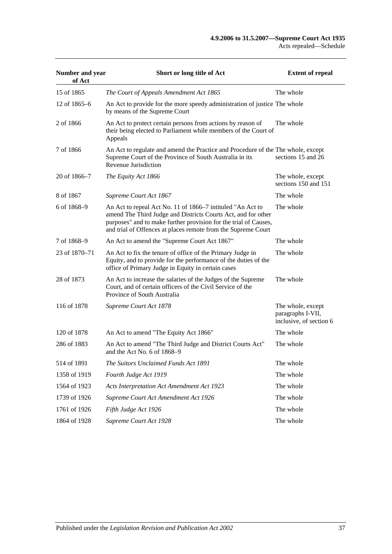| Number and year<br>of Act | Short or long title of Act                                                                                                                                                                                                                                       | <b>Extent of repeal</b>                                           |
|---------------------------|------------------------------------------------------------------------------------------------------------------------------------------------------------------------------------------------------------------------------------------------------------------|-------------------------------------------------------------------|
| 15 of 1865                | The Court of Appeals Amendment Act 1865                                                                                                                                                                                                                          | The whole                                                         |
| 12 of 1865–6              | An Act to provide for the more speedy administration of justice The whole<br>by means of the Supreme Court                                                                                                                                                       |                                                                   |
| 2 of 1866                 | An Act to protect certain persons from actions by reason of<br>their being elected to Parliament while members of the Court of<br>Appeals                                                                                                                        | The whole                                                         |
| 7 of 1866                 | An Act to regulate and amend the Practice and Procedure of the The whole, except<br>Supreme Court of the Province of South Australia in its<br>Revenue Jurisdiction                                                                                              | sections 15 and 26                                                |
| 20 of 1866-7              | The Equity Act 1866                                                                                                                                                                                                                                              | The whole, except<br>sections 150 and 151                         |
| 8 of 1867                 | Supreme Court Act 1867                                                                                                                                                                                                                                           | The whole                                                         |
| 6 of 1868-9               | An Act to repeal Act No. 11 of 1866–7 intituled "An Act to<br>amend The Third Judge and Districts Courts Act, and for other<br>purposes" and to make further provision for the trial of Causes,<br>and trial of Offences at places remote from the Supreme Court | The whole                                                         |
| 7 of 1868-9               | An Act to amend the "Supreme Court Act 1867"                                                                                                                                                                                                                     | The whole                                                         |
| 23 of 1870–71             | An Act to fix the tenure of office of the Primary Judge in<br>Equity, and to provide for the performance of the duties of the<br>office of Primary Judge in Equity in certain cases                                                                              | The whole                                                         |
| 28 of 1873                | An Act to increase the salaries of the Judges of the Supreme<br>Court, and of certain officers of the Civil Service of the<br>Province of South Australia                                                                                                        | The whole                                                         |
| 116 of 1878               | Supreme Court Act 1878                                                                                                                                                                                                                                           | The whole, except<br>paragraphs I-VII,<br>inclusive, of section 6 |
| 120 of 1878               | An Act to amend "The Equity Act 1866"                                                                                                                                                                                                                            | The whole                                                         |
| 286 of 1883               | An Act to amend "The Third Judge and District Courts Act"<br>and the Act No. 6 of 1868–9                                                                                                                                                                         | The whole                                                         |
| 514 of 1891               | The Suitors Unclaimed Funds Act 1891                                                                                                                                                                                                                             | The whole                                                         |
| 1358 of 1919              | Fourth Judge Act 1919                                                                                                                                                                                                                                            | The whole                                                         |
| 1564 of 1923              | Acts Interpretation Act Amendment Act 1923                                                                                                                                                                                                                       | The whole                                                         |
| 1739 of 1926              | Supreme Court Act Amendment Act 1926                                                                                                                                                                                                                             | The whole                                                         |
| 1761 of 1926              | Fifth Judge Act 1926                                                                                                                                                                                                                                             | The whole                                                         |
| 1864 of 1928              | Supreme Court Act 1928                                                                                                                                                                                                                                           | The whole                                                         |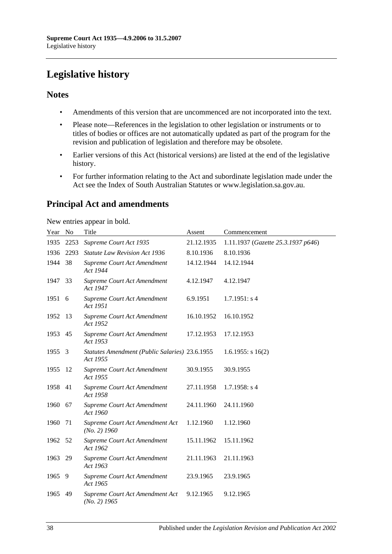# <span id="page-37-0"></span>**Legislative history**

## **Notes**

- Amendments of this version that are uncommenced are not incorporated into the text.
- Please note—References in the legislation to other legislation or instruments or to titles of bodies or offices are not automatically updated as part of the program for the revision and publication of legislation and therefore may be obsolete.
- Earlier versions of this Act (historical versions) are listed at the end of the legislative history.
- For further information relating to the Act and subordinate legislation made under the Act see the Index of South Australian Statutes or www.legislation.sa.gov.au.

## **Principal Act and amendments**

New entries appear in bold.

| Year No |      | Title                                                      | Assent     | Commencement                       |
|---------|------|------------------------------------------------------------|------------|------------------------------------|
| 1935    | 2253 | Supreme Court Act 1935                                     | 21.12.1935 | 1.11.1937 (Gazette 25.3.1937 p646) |
| 1936    | 2293 | <b>Statute Law Revision Act 1936</b>                       | 8.10.1936  | 8.10.1936                          |
| 1944    | 38   | Supreme Court Act Amendment<br>Act 1944                    | 14.12.1944 | 14.12.1944                         |
| 1947    | 33   | Supreme Court Act Amendment<br>Act 1947                    | 4.12.1947  | 4.12.1947                          |
| 1951    | 6    | Supreme Court Act Amendment<br>Act 1951                    | 6.9.1951   | 1.7.1951: s4                       |
| 1952    | 13   | Supreme Court Act Amendment<br>Act 1952                    | 16.10.1952 | 16.10.1952                         |
| 1953    | 45   | Supreme Court Act Amendment<br>Act 1953                    | 17.12.1953 | 17.12.1953                         |
| 1955    | 3    | Statutes Amendment (Public Salaries) 23.6.1955<br>Act 1955 |            | $1.6.1955$ : s $16(2)$             |
| 1955    | 12   | Supreme Court Act Amendment<br>Act 1955                    | 30.9.1955  | 30.9.1955                          |
| 1958    | 41   | Supreme Court Act Amendment<br>Act 1958                    | 27.11.1958 | $1.7.1958$ : s 4                   |
| 1960    | 67   | Supreme Court Act Amendment<br>Act 1960                    | 24.11.1960 | 24.11.1960                         |
| 1960    | 71   | Supreme Court Act Amendment Act<br>$(No. 2)$ 1960          | 1.12.1960  | 1.12.1960                          |
| 1962    | 52   | Supreme Court Act Amendment<br>Act 1962                    | 15.11.1962 | 15.11.1962                         |
| 1963    | 29   | Supreme Court Act Amendment<br>Act 1963                    | 21.11.1963 | 21.11.1963                         |
| 1965    | -9   | Supreme Court Act Amendment<br>Act 1965                    | 23.9.1965  | 23.9.1965                          |
| 1965    | 49   | Supreme Court Act Amendment Act<br>$(No. 2)$ 1965          | 9.12.1965  | 9.12.1965                          |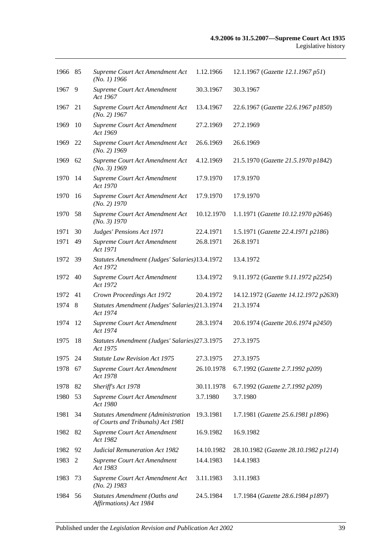| 1966 85 |     | Supreme Court Act Amendment Act<br>$(No. 1)$ 1966                              | 1.12.1966  | 12.1.1967 (Gazette 12.1.1967 p51)     |
|---------|-----|--------------------------------------------------------------------------------|------------|---------------------------------------|
| 1967    | 9   | Supreme Court Act Amendment<br>Act 1967                                        | 30.3.1967  | 30.3.1967                             |
| 1967    | 21  | Supreme Court Act Amendment Act<br>$(No. 2)$ 1967                              | 13.4.1967  | 22.6.1967 (Gazette 22.6.1967 p1850)   |
| 1969    | 10  | Supreme Court Act Amendment<br>Act 1969                                        | 27.2.1969  | 27.2.1969                             |
| 1969    | 22  | Supreme Court Act Amendment Act<br>$(No. 2)$ 1969                              | 26.6.1969  | 26.6.1969                             |
| 1969    | 62  | Supreme Court Act Amendment Act<br>$(No. 3)$ 1969                              | 4.12.1969  | 21.5.1970 (Gazette 21.5.1970 p1842)   |
| 1970    | -14 | Supreme Court Act Amendment<br>Act 1970                                        | 17.9.1970  | 17.9.1970                             |
| 1970    | -16 | Supreme Court Act Amendment Act<br>$(No. 2)$ 1970                              | 17.9.1970  | 17.9.1970                             |
| 1970    | 58  | Supreme Court Act Amendment Act<br>(No. 3) 1970                                | 10.12.1970 | 1.1.1971 (Gazette 10.12.1970 p2646)   |
| 1971    | 30  | Judges' Pensions Act 1971                                                      | 22.4.1971  | 1.5.1971 (Gazette 22.4.1971 p2186)    |
| 1971    | 49  | Supreme Court Act Amendment<br>Act 1971                                        | 26.8.1971  | 26.8.1971                             |
| 1972 39 |     | Statutes Amendment (Judges' Salaries)13.4.1972<br>Act 1972                     |            | 13.4.1972                             |
| 1972    | 40  | Supreme Court Act Amendment<br>Act 1972                                        | 13.4.1972  | 9.11.1972 (Gazette 9.11.1972 p2254)   |
| 1972    | 41  | Crown Proceedings Act 1972                                                     | 20.4.1972  | 14.12.1972 (Gazette 14.12.1972 p2630) |
| 1974    | 8   | Statutes Amendment (Judges' Salaries)21.3.1974<br>Act 1974                     |            | 21.3.1974                             |
| 1974    | 12  | Supreme Court Act Amendment<br>Act 1974                                        | 28.3.1974  | 20.6.1974 (Gazette 20.6.1974 p2450)   |
| 1975    | 18  | Statutes Amendment (Judges' Salaries) 27.3.1975<br>Act 1975                    |            | 27.3.1975                             |
| 1975 24 |     | <b>Statute Law Revision Act 1975</b>                                           | 27.3.1975  | 27.3.1975                             |
| 1978 67 |     | Supreme Court Act Amendment<br>Act 1978                                        | 26.10.1978 | 6.7.1992 (Gazette 2.7.1992 p209)      |
| 1978    | 82  | Sheriff's Act 1978                                                             | 30.11.1978 | 6.7.1992 (Gazette 2.7.1992 p209)      |
| 1980    | 53  | Supreme Court Act Amendment<br>Act 1980                                        | 3.7.1980   | 3.7.1980                              |
| 1981    | 34  | <b>Statutes Amendment (Administration</b><br>of Courts and Tribunals) Act 1981 | 19.3.1981  | 1.7.1981 (Gazette 25.6.1981 p1896)    |
| 1982    | 82  | Supreme Court Act Amendment<br>Act 1982                                        | 16.9.1982  | 16.9.1982                             |
| 1982    | 92  | <b>Judicial Remuneration Act 1982</b>                                          | 14.10.1982 | 28.10.1982 (Gazette 28.10.1982 p1214) |
| 1983    | 2   | Supreme Court Act Amendment<br>Act 1983                                        | 14.4.1983  | 14.4.1983                             |
| 1983    | 73  | Supreme Court Act Amendment Act<br>$(No. 2)$ 1983                              | 3.11.1983  | 3.11.1983                             |
| 1984    | 56  | Statutes Amendment (Oaths and<br>Affirmations) Act 1984                        | 24.5.1984  | 1.7.1984 (Gazette 28.6.1984 p1897)    |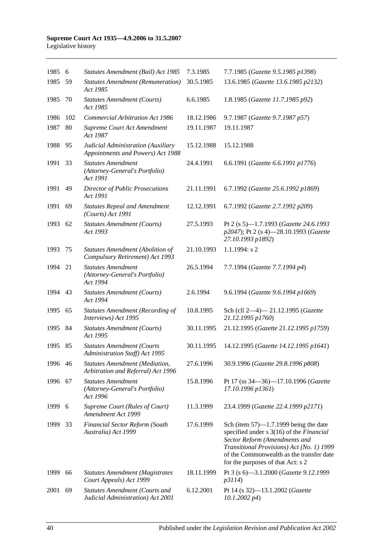| 1985    | 6   | Statutes Amendment (Bail) Act 1985                                          | 7.3.1985   | 7.7.1985 (Gazette 9.5.1985 p1398)                                                                                                                                                                                                                   |
|---------|-----|-----------------------------------------------------------------------------|------------|-----------------------------------------------------------------------------------------------------------------------------------------------------------------------------------------------------------------------------------------------------|
| 1985    | 59  | <b>Statutes Amendment (Remuneration)</b><br>Act 1985                        | 30.5.1985  | 13.6.1985 (Gazette 13.6.1985 p2132)                                                                                                                                                                                                                 |
| 1985    | 70  | <b>Statutes Amendment (Courts)</b><br>Act 1985                              | 6.6.1985   | 1.8.1985 (Gazette 11.7.1985 p92)                                                                                                                                                                                                                    |
| 1986    | 102 | <b>Commercial Arbitration Act 1986</b>                                      | 18.12.1986 | 9.7.1987 (Gazette 9.7.1987 p57)                                                                                                                                                                                                                     |
| 1987    | 80  | Supreme Court Act Amendment<br>Act 1987                                     | 19.11.1987 | 19.11.1987                                                                                                                                                                                                                                          |
| 1988    | 95  | Judicial Administration (Auxiliary<br>Appointments and Powers) Act 1988     | 15.12.1988 | 15.12.1988                                                                                                                                                                                                                                          |
| 1991    | 33  | <b>Statutes Amendment</b><br>(Attorney-General's Portfolio)<br>Act 1991     | 24.4.1991  | 6.6.1991 (Gazette 6.6.1991 p1776)                                                                                                                                                                                                                   |
| 1991    | 49  | <b>Director of Public Prosecutions</b><br>Act 1991                          | 21.11.1991 | 6.7.1992 (Gazette 25.6.1992 p1869)                                                                                                                                                                                                                  |
| 1991    | 69  | <b>Statutes Repeal and Amendment</b><br>(Courts) Act 1991                   | 12.12.1991 | 6.7.1992 (Gazette 2.7.1992 p209)                                                                                                                                                                                                                    |
| 1993    | 62  | <b>Statutes Amendment (Courts)</b><br>Act 1993                              | 27.5.1993  | Pt 2 (s 5)-1.7.1993 (Gazette 24.6.1993<br>p2047); Pt 2 (s 4)-28.10.1993 (Gazette<br>27.10.1993 p1892)                                                                                                                                               |
| 1993    | 75  | Statutes Amendment (Abolition of<br>Compulsory Retirement) Act 1993         | 21.10.1993 | $1.1.1994$ : s 2                                                                                                                                                                                                                                    |
| 1994    | 21  | <b>Statutes Amendment</b><br>(Attorney-General's Portfolio)<br>Act 1994     | 26.5.1994  | 7.7.1994 (Gazette 7.7.1994 p4)                                                                                                                                                                                                                      |
| 1994    | 43  | <b>Statutes Amendment (Courts)</b><br>Act 1994                              | 2.6.1994   | 9.6.1994 (Gazette 9.6.1994 p1669)                                                                                                                                                                                                                   |
| 1995    | 65  | <b>Statutes Amendment (Recording of</b><br>Interviews) Act 1995             | 10.8.1995  | Sch (cll 2-4)-21.12.1995 (Gazette<br>21.12.1995 p1760)                                                                                                                                                                                              |
| 1995    | 84  | <b>Statutes Amendment (Courts)</b><br>Act 1995                              | 30.11.1995 | 21.12.1995 (Gazette 21.12.1995 p1759)                                                                                                                                                                                                               |
| 1995    | 85  | <b>Statutes Amendment (Courts</b><br>Administration Staff) Act 1995         | 30.11.1995 | 14.12.1995 (Gazette 14.12.1995 p1641)                                                                                                                                                                                                               |
| 1996 46 |     | <b>Statutes Amendment (Mediation,</b><br>Arbitration and Referral) Act 1996 | 27.6.1996  | 30.9.1996 (Gazette 29.8.1996 p808)                                                                                                                                                                                                                  |
| 1996    | 67  | <b>Statutes Amendment</b><br>(Attorney-General's Portfolio)<br>Act 1996     | 15.8.1996  | Pt 17 (ss 34–36)–17.10.1996 (Gazette<br>17.10.1996 p1361)                                                                                                                                                                                           |
| 1999    | 6   | Supreme Court (Rules of Court)<br>Amendment Act 1999                        | 11.3.1999  | 23.4.1999 (Gazette 22.4.1999 p2171)                                                                                                                                                                                                                 |
| 1999    | 33  | <b>Financial Sector Reform (South</b><br>Australia) Act 1999                | 17.6.1999  | Sch (item $57$ )—1.7.1999 being the date<br>specified under s 3(16) of the Financial<br>Sector Reform (Amendments and<br>Transitional Provisions) Act (No. 1) 1999<br>of the Commonwealth as the transfer date<br>for the purposes of that Act: s 2 |
| 1999    | 66  | <b>Statutes Amendment (Magistrates</b><br>Court Appeals) Act 1999           | 18.11.1999 | Pt 3 (s 6)-3.1.2000 (Gazette 9.12.1999<br>p3114)                                                                                                                                                                                                    |
| 2001    | 69  | <b>Statutes Amendment (Courts and</b><br>Judicial Administration) Act 2001  | 6.12.2001  | Pt 14 (s 32)-13.1.2002 (Gazette<br>$10.1.2002\ p4)$                                                                                                                                                                                                 |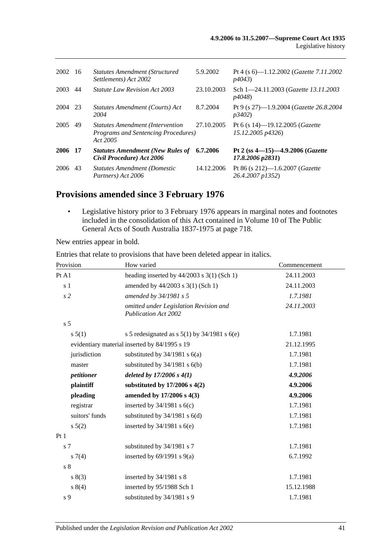| 2002 | -16  | <b>Statutes Amendment (Structured</b><br>Settlements) Act 2002                                     | 5.9.2002   | Pt 4 (s 6)—1.12.2002 ( <i>Gazette 7.11.2002</i><br>p4043          |
|------|------|----------------------------------------------------------------------------------------------------|------------|-------------------------------------------------------------------|
| 2003 | 44   | <i>Statute Law Revision Act 2003</i>                                                               | 23.10.2003 | Sch 1-24.11.2003 (Gazette 13.11.2003<br><i>p4048</i> )            |
| 2004 | 23   | Statutes Amendment (Courts) Act<br>2004                                                            | 8.7.2004   | Pt 9 (s 27)—1.9.2004 ( <i>Gazette</i> 26.8.2004<br><i>p3402</i> ) |
| 2005 | 49   | <b>Statutes Amendment (Intervention</b><br><b>Programs and Sentencing Procedures</b> )<br>Act 2005 | 27.10.2005 | Pt 6 (s 14)-19.12.2005 ( <i>Gazette</i><br>15.12.2005 p4326)      |
| 2006 | - 17 | <b>Statutes Amendment (New Rules of</b><br>Civil Procedure) Act 2006                               | 6.7.2006   | Pt 2 (ss $4-15$ ) $-4.9.2006$ (Gazette<br>17.8.2006 p2831)        |
| 2006 | 43   | <b>Statutes Amendment (Domestic</b><br>Partners) Act 2006                                          | 14.12.2006 | Pt 86 (s 212)-1.6.2007 (Gazette<br>26.4.2007 p1352)               |

## **Provisions amended since 3 February 1976**

• Legislative history prior to 3 February 1976 appears in marginal notes and footnotes included in the consolidation of this Act contained in Volume 10 of The Public General Acts of South Australia 1837-1975 at page 718.

New entries appear in bold.

| Provision      | How varied                                                            | Commencement |
|----------------|-----------------------------------------------------------------------|--------------|
| Pt A1          | heading inserted by $44/2003$ s 3(1) (Sch 1)                          | 24.11.2003   |
| s 1            | amended by 44/2003 s 3(1) (Sch 1)                                     | 24.11.2003   |
| s <sub>2</sub> | amended by 34/1981 s 5                                                | 1.7.1981     |
|                | omitted under Legislation Revision and<br><b>Publication Act 2002</b> | 24.11.2003   |
| s <sub>5</sub> |                                                                       |              |
| s 5(1)         | s 5 redesignated as s $5(1)$ by 34/1981 s $6(e)$                      | 1.7.1981     |
|                | evidentiary material inserted by 84/1995 s 19                         | 21.12.1995   |
| jurisdiction   | substituted by $34/1981$ s $6(a)$                                     | 1.7.1981     |
| master         | substituted by $34/1981$ s $6(b)$                                     | 1.7.1981     |
| petitioner     | deleted by $17/2006 s 4(1)$                                           | 4.9.2006     |
| plaintiff      | substituted by $17/2006$ s $4(2)$                                     | 4.9.2006     |
| pleading       | amended by 17/2006 s 4(3)                                             | 4.9.2006     |
| registrar      | inserted by $34/1981$ s $6(c)$                                        | 1.7.1981     |
| suitors' funds | substituted by $34/1981$ s $6(d)$                                     | 1.7.1981     |
| s 5(2)         | inserted by $34/1981$ s $6(e)$                                        | 1.7.1981     |
| Pt1            |                                                                       |              |
| s <sub>7</sub> | substituted by 34/1981 s 7                                            | 1.7.1981     |
| $s \, 7(4)$    | inserted by $69/1991$ s $9(a)$                                        | 6.7.1992     |
| s <sub>8</sub> |                                                                       |              |
| s(3)           | inserted by $34/1981$ s 8                                             | 1.7.1981     |
| s 8(4)         | inserted by 95/1988 Sch 1                                             | 15.12.1988   |
| s 9            | substituted by 34/1981 s 9                                            | 1.7.1981     |

Entries that relate to provisions that have been deleted appear in italics.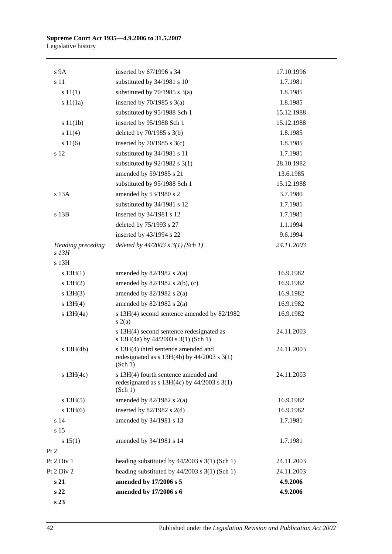| s 23                         |                                                                                                    |                      |
|------------------------------|----------------------------------------------------------------------------------------------------|----------------------|
| s 22                         | amended by 17/2006 s 5<br>amended by 17/2006 s 6                                                   | 4.9.2006<br>4.9.2006 |
| Pt 2 Div 2<br>s 21           | heading substituted by $44/2003$ s 3(1) (Sch 1)                                                    | 24.11.2003           |
| Pt 2 Div 1                   | heading substituted by $44/2003$ s $3(1)$ (Sch 1)                                                  | 24.11.2003           |
| Pt 2                         |                                                                                                    |                      |
| s 15(1)                      | amended by 34/1981 s 14                                                                            | 1.7.1981             |
| s 15                         |                                                                                                    |                      |
| s 14                         | amended by 34/1981 s 13                                                                            | 1.7.1981             |
| s 13H(6)                     | inserted by $82/1982$ s $2(d)$                                                                     | 16.9.1982            |
| s 13H(5)                     | amended by $82/1982$ s $2(a)$                                                                      | 16.9.1982            |
| $s$ 13H(4c)                  | s 13H(4) fourth sentence amended and<br>redesignated as $s$ 13H(4c) by 44/2003 $s$ 3(1)<br>(Sch 1) | 24.11.2003           |
| $s$ 13H(4b)                  | s 13H(4) third sentence amended and<br>redesignated as $s$ 13H(4b) by 44/2003 $s$ 3(1)<br>(Sch 1)  | 24.11.2003           |
|                              | s 13H(4) second sentence redesignated as<br>s 13H(4a) by 44/2003 s 3(1) (Sch 1)                    | 24.11.2003           |
| $s$ 13H $(4a)$               | s 13H(4) second sentence amended by 82/1982<br>s(2(a)                                              | 16.9.1982            |
| s 13H(4)                     | amended by $82/1982$ s $2(a)$                                                                      | 16.9.1982            |
| $s$ 13H $(3)$                | amended by $82/1982$ s $2(a)$                                                                      | 16.9.1982            |
| s 13H(2)                     | amended by $82/1982$ s $2(b)$ , (c)                                                                | 16.9.1982            |
| s 13H(1)                     | amended by $82/1982$ s $2(a)$                                                                      | 16.9.1982            |
| s 13H                        |                                                                                                    |                      |
| Heading preceding<br>$s$ 13H | deleted by $44/2003$ s $3(1)$ (Sch 1)                                                              | 24.11.2003           |
|                              | inserted by 43/1994 s 22                                                                           | 9.6.1994             |
|                              | deleted by 75/1993 s 27                                                                            | 1.1.1994             |
| s 13B                        | inserted by 34/1981 s 12                                                                           | 1.7.1981             |
|                              | substituted by 34/1981 s 12                                                                        | 1.7.1981             |
| s 13A                        | amended by 53/1980 s 2                                                                             | 3.7.1980             |
|                              | substituted by 95/1988 Sch 1                                                                       | 15.12.1988           |
|                              | amended by 59/1985 s 21                                                                            | 13.6.1985            |
|                              | substituted by $92/1982$ s 3(1)                                                                    | 28.10.1982           |
| s 12                         | substituted by 34/1981 s 11                                                                        | 1.7.1981             |
| s 11(6)                      | inserted by $70/1985$ s $3(c)$                                                                     | 1.8.1985             |
| s 11(4)                      | deleted by $70/1985$ s $3(b)$                                                                      | 1.8.1985             |
| s 11(1b)                     | inserted by 95/1988 Sch 1                                                                          | 15.12.1988           |
|                              | substituted by 95/1988 Sch 1                                                                       | 15.12.1988           |
| s 11(1a)                     | inserted by $70/1985$ s $3(a)$                                                                     | 1.8.1985             |
| s 11(1)                      | substituted by $70/1985$ s $3(a)$                                                                  | 1.8.1985             |
| s 11                         | substituted by 34/1981 s 10                                                                        | 1.7.1981             |
| s <sub>9A</sub>              | inserted by 67/1996 s 34                                                                           | 17.10.1996           |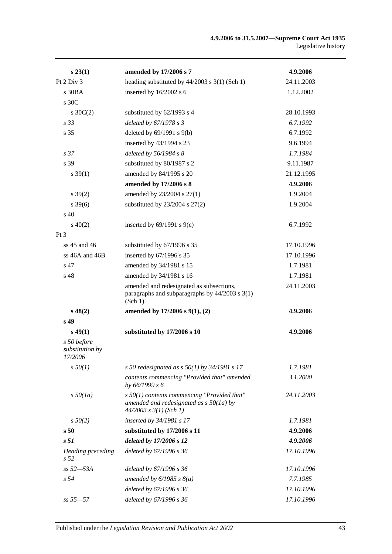| s 23(1)                                     | amended by 17/2006 s 7                                                                                                   | 4.9.2006   |
|---------------------------------------------|--------------------------------------------------------------------------------------------------------------------------|------------|
| Pt 2 Div 3                                  | heading substituted by $44/2003$ s 3(1) (Sch 1)                                                                          | 24.11.2003 |
| $s$ 30BA                                    | inserted by 16/2002 s 6                                                                                                  | 1.12.2002  |
| s 30C                                       |                                                                                                                          |            |
| $s \, 30C(2)$                               | substituted by 62/1993 s 4                                                                                               | 28.10.1993 |
| s <sub>33</sub>                             | deleted by 67/1978 s 3                                                                                                   | 6.7.1992   |
| s 35                                        | deleted by $69/1991$ s $9(b)$                                                                                            | 6.7.1992   |
|                                             | inserted by 43/1994 s 23                                                                                                 | 9.6.1994   |
| s <sub>37</sub>                             | deleted by $56/1984$ s 8                                                                                                 | 1.7.1984   |
| s 39                                        | substituted by 80/1987 s 2                                                                                               | 9.11.1987  |
| $s \, 39(1)$                                | amended by 84/1995 s 20                                                                                                  | 21.12.1995 |
|                                             | amended by 17/2006 s 8                                                                                                   | 4.9.2006   |
| $s \, 39(2)$                                | amended by 23/2004 s 27(1)                                                                                               | 1.9.2004   |
| $s \, 39(6)$                                | substituted by $23/2004$ s $27(2)$                                                                                       | 1.9.2004   |
| $\rm s$ 40                                  |                                                                                                                          |            |
| $s\ 40(2)$                                  | inserted by $69/1991$ s $9(c)$                                                                                           | 6.7.1992   |
| $Pt\,3$                                     |                                                                                                                          |            |
| ss 45 and 46                                | substituted by 67/1996 s 35                                                                                              | 17.10.1996 |
| ss 46A and 46B                              | inserted by 67/1996 s 35                                                                                                 | 17.10.1996 |
| s 47                                        | amended by 34/1981 s 15                                                                                                  | 1.7.1981   |
| s 48                                        | amended by 34/1981 s 16                                                                                                  | 1.7.1981   |
|                                             | amended and redesignated as subsections,<br>paragraphs and subparagraphs by $44/2003$ s $3(1)$<br>(Sch 1)                | 24.11.2003 |
| $s\,48(2)$                                  | amended by 17/2006 s 9(1), (2)                                                                                           | 4.9.2006   |
| s <sub>49</sub>                             |                                                                                                                          |            |
| $s\,49(1)$                                  | substituted by 17/2006 s 10                                                                                              | 4.9.2006   |
| s 50 before<br>substitution by<br>17/2006   |                                                                                                                          |            |
| $s\,50(1)$                                  | s 50 redesignated as s $50(1)$ by 34/1981 s 17                                                                           | 1.7.1981   |
|                                             | contents commencing "Provided that" amended<br>by 66/1999 s 6                                                            | 3.1.2000   |
| $s\,50(1a)$                                 | $s$ 50(1) contents commencing "Provided that"<br>amended and redesignated as $s$ 50(1a) by<br>$44/2003$ s $3(1)$ (Sch 1) | 24.11.2003 |
| $s\,50(2)$                                  | inserted by 34/1981 s 17                                                                                                 | 1.7.1981   |
| s <sub>50</sub>                             | substituted by 17/2006 s 11                                                                                              | 4.9.2006   |
| s <sub>51</sub>                             | deleted by 17/2006 s 12                                                                                                  | 4.9.2006   |
| <b>Heading</b> preceding<br>s <sub>52</sub> | deleted by 67/1996 s 36                                                                                                  | 17.10.1996 |
| $ss 52 - 53A$                               | deleted by 67/1996 s 36                                                                                                  | 17.10.1996 |
| s <sub>54</sub>                             | amended by $6/1985$ s $8(a)$                                                                                             | 7.7.1985   |
|                                             | deleted by 67/1996 s 36                                                                                                  | 17.10.1996 |
| $ss 55 - 57$                                | deleted by 67/1996 s 36                                                                                                  | 17.10.1996 |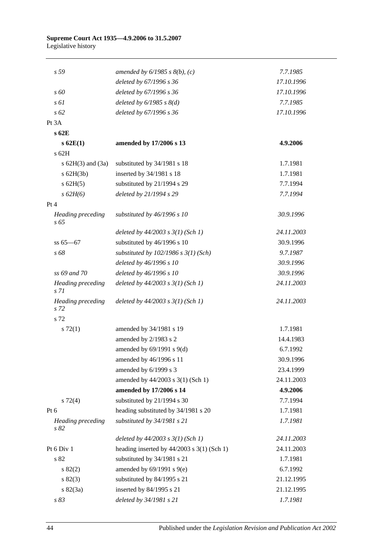| s 59                                        | amended by $6/1985$ s $8(b)$ , (c)           | 7.7.1985   |
|---------------------------------------------|----------------------------------------------|------------|
|                                             | deleted by 67/1996 s 36                      | 17.10.1996 |
| $\sqrt{s}$ 60                               | deleted by 67/1996 s 36                      | 17.10.1996 |
| $s \, \delta l$                             | deleted by $6/1985$ s $8(d)$                 | 7.7.1985   |
| $s\,62$                                     | deleted by 67/1996 s 36                      | 17.10.1996 |
| Pt 3A                                       |                                              |            |
| s 62E                                       |                                              |            |
| $s$ 62 $E(1)$                               | amended by 17/2006 s 13                      | 4.9.2006   |
| s 62H                                       |                                              |            |
| s $62H(3)$ and $(3a)$                       | substituted by 34/1981 s 18                  | 1.7.1981   |
| $s$ 62H(3b)                                 | inserted by 34/1981 s 18                     | 1.7.1981   |
| $s$ 62H $(5)$                               | substituted by 21/1994 s 29                  | 7.7.1994   |
| $s \, 62H(6)$                               | deleted by 21/1994 s 29                      | 7.7.1994   |
| Pt 4                                        |                                              |            |
| <b>Heading preceding</b><br>s 65            | substituted by 46/1996 s 10                  | 30.9.1996  |
|                                             | deleted by $44/2003$ s $3(1)$ (Sch 1)        | 24.11.2003 |
| $ss 65 - 67$                                | substituted by 46/1996 s 10                  | 30.9.1996  |
| s 68                                        | substituted by $102/1986$ s $3(1)$ (Sch)     | 9.7.1987   |
|                                             | deleted by 46/1996 s 10                      | 30.9.1996  |
| ss 69 and 70                                | deleted by 46/1996 s 10                      | 30.9.1996  |
| <b>Heading</b> preceding<br>s <sub>71</sub> | deleted by $44/2003$ s $3(1)$ (Sch 1)        | 24.11.2003 |
| Heading preceding<br>s 72                   | deleted by $44/2003$ s $3(1)$ (Sch 1)        | 24.11.2003 |
| s 72                                        |                                              |            |
| $s \, 72(1)$                                | amended by 34/1981 s 19                      | 1.7.1981   |
|                                             | amended by 2/1983 s 2                        | 14.4.1983  |
|                                             | amended by $69/1991$ s $9(d)$                | 6.7.1992   |
|                                             | amended by 46/1996 s 11                      | 30.9.1996  |
|                                             | amended by 6/1999 s 3                        | 23.4.1999  |
|                                             | amended by 44/2003 s 3(1) (Sch 1)            | 24.11.2003 |
|                                             | amended by 17/2006 s 14                      | 4.9.2006   |
| $s\ 72(4)$                                  | substituted by 21/1994 s 30                  | 7.7.1994   |
| Pt $6$                                      | heading substituted by 34/1981 s 20          | 1.7.1981   |
| <b>Heading</b> preceding<br>s 82            | substituted by 34/1981 s 21                  | 1.7.1981   |
|                                             | deleted by $44/2003$ s $3(1)$ (Sch 1)        | 24.11.2003 |
| Pt 6 Div 1                                  | heading inserted by $44/2003$ s 3(1) (Sch 1) | 24.11.2003 |
| s 82                                        | substituted by 34/1981 s 21                  | 1.7.1981   |
| s 82(2)                                     | amended by $69/1991$ s $9(e)$                | 6.7.1992   |
| s 82(3)                                     | substituted by 84/1995 s 21                  | 21.12.1995 |
| s 82(3a)                                    | inserted by 84/1995 s 21                     | 21.12.1995 |
| s 83                                        | deleted by 34/1981 s 21                      | 1.7.1981   |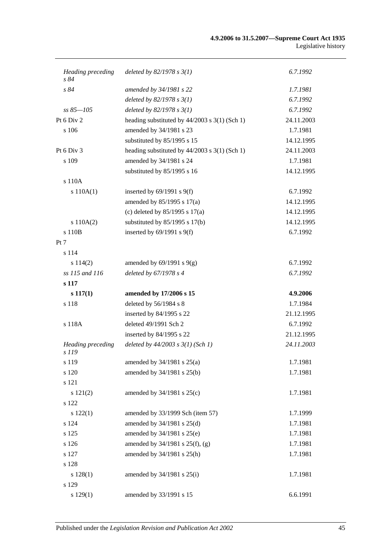| Heading preceding<br>s 84         | deleted by $82/1978 s 3(1)$                     | 6.7.1992   |
|-----------------------------------|-------------------------------------------------|------------|
| s84                               | amended by 34/1981 s 22                         | 1.7.1981   |
|                                   | deleted by $82/1978 s 3(1)$                     | 6.7.1992   |
| $ss 85 - 105$                     | deleted by $82/1978 s 3(1)$                     | 6.7.1992   |
| Pt 6 Div 2                        | heading substituted by $44/2003$ s 3(1) (Sch 1) | 24.11.2003 |
| s 106                             | amended by 34/1981 s 23                         | 1.7.1981   |
|                                   | substituted by 85/1995 s 15                     | 14.12.1995 |
| Pt 6 Div 3                        | heading substituted by $44/2003$ s 3(1) (Sch 1) | 24.11.2003 |
| s 109                             | amended by 34/1981 s 24                         | 1.7.1981   |
|                                   | substituted by 85/1995 s 16                     | 14.12.1995 |
| s 110A                            |                                                 |            |
| s 110A(1)                         | inserted by $69/1991$ s $9(f)$                  | 6.7.1992   |
|                                   | amended by 85/1995 s 17(a)                      | 14.12.1995 |
|                                   | (c) deleted by $85/1995$ s $17(a)$              | 14.12.1995 |
| s 110A(2)                         | substituted by $85/1995$ s $17(b)$              | 14.12.1995 |
| s 110B                            | inserted by $69/1991$ s $9(f)$                  | 6.7.1992   |
| Pt 7                              |                                                 |            |
| s 114                             |                                                 |            |
| s 114(2)                          | amended by $69/1991$ s $9(g)$                   | 6.7.1992   |
| ss 115 and 116                    | deleted by 67/1978 s 4                          | 6.7.1992   |
| s 117                             |                                                 |            |
| $s\ 117(1)$                       | amended by 17/2006 s 15                         | 4.9.2006   |
| s 118                             | deleted by 56/1984 s 8                          | 1.7.1984   |
|                                   | inserted by 84/1995 s 22                        | 21.12.1995 |
| s 118A                            | deleted 49/1991 Sch 2                           | 6.7.1992   |
|                                   | inserted by 84/1995 s 22                        | 21.12.1995 |
| <b>Heading</b> preceding<br>s 119 | deleted by $44/2003$ s $3(1)$ (Sch 1)           | 24.11.2003 |
| s 119                             | amended by 34/1981 s 25(a)                      | 1.7.1981   |
| s 120                             | amended by 34/1981 s 25(b)                      | 1.7.1981   |
| s 121                             |                                                 |            |
| s 121(2)                          | amended by 34/1981 s 25(c)                      | 1.7.1981   |
| s 122                             |                                                 |            |
| s 122(1)                          | amended by 33/1999 Sch (item 57)                | 1.7.1999   |
| s 124                             | amended by 34/1981 s 25(d)                      | 1.7.1981   |
| s 125                             | amended by 34/1981 s 25(e)                      | 1.7.1981   |
| s 126                             | amended by $34/1981$ s $25(f)$ , (g)            | 1.7.1981   |
| s 127                             | amended by 34/1981 s 25(h)                      | 1.7.1981   |
| s 128                             |                                                 |            |
| s 128(1)                          | amended by 34/1981 s 25(i)                      | 1.7.1981   |
| s 129                             |                                                 |            |
| s 129(1)                          | amended by 33/1991 s 15                         | 6.6.1991   |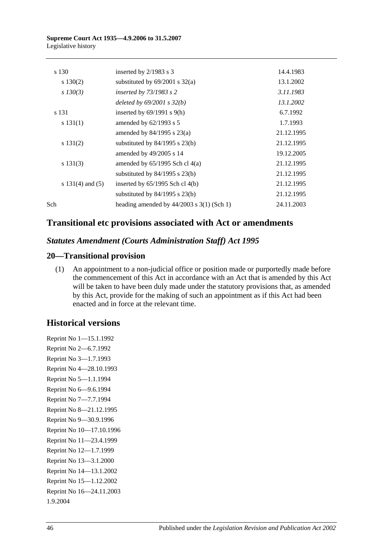| s 130                | inserted by 2/1983 s 3                        | 14.4.1983  |
|----------------------|-----------------------------------------------|------------|
| $s\ 130(2)$          | substituted by $69/2001$ s $32(a)$            | 13.1.2002  |
| $s\,130(3)$          | inserted by $73/1983$ s 2                     | 3.11.1983  |
|                      | deleted by $69/2001$ s $32(b)$                | 13.1.2002  |
| s 131                | inserted by $69/1991$ s $9(h)$                | 6.7.1992   |
| s 131(1)             | amended by $62/1993$ s 5                      | 1.7.1993   |
|                      | amended by $84/1995$ s $23(a)$                | 21.12.1995 |
| s 131(2)             | substituted by $84/1995$ s $23(b)$            | 21.12.1995 |
|                      | amended by 49/2005 s 14                       | 19.12.2005 |
| s 131(3)             | amended by $65/1995$ Sch cl $4(a)$            | 21.12.1995 |
|                      | substituted by $84/1995$ s $23(b)$            | 21.12.1995 |
| s $131(4)$ and $(5)$ | inserted by $65/1995$ Sch cl $4(b)$           | 21.12.1995 |
|                      | substituted by $84/1995$ s $23(b)$            | 21.12.1995 |
| Sch                  | heading amended by $44/2003$ s $3(1)$ (Sch 1) | 24.11.2003 |
|                      |                                               |            |

## **Transitional etc provisions associated with Act or amendments**

## *Statutes Amendment (Courts Administration Staff) Act 1995*

## **20—Transitional provision**

(1) An appointment to a non-judicial office or position made or purportedly made before the commencement of this Act in accordance with an Act that is amended by this Act will be taken to have been duly made under the statutory provisions that, as amended by this Act, provide for the making of such an appointment as if this Act had been enacted and in force at the relevant time.

## **Historical versions**

Reprint No 1—15.1.1992 Reprint No 2—6.7.1992 Reprint No 3—1.7.1993 Reprint No 4—28.10.1993 Reprint No 5—1.1.1994 Reprint No 6—9.6.1994 Reprint No 7—7.7.1994 Reprint No 8—21.12.1995 Reprint No 9—30.9.1996 Reprint No 10—17.10.1996 Reprint No 11—23.4.1999 Reprint No 12—1.7.1999 Reprint No 13—3.1.2000 Reprint No 14—13.1.2002 Reprint No 15—1.12.2002 Reprint No 16—24.11.2003 1.9.2004